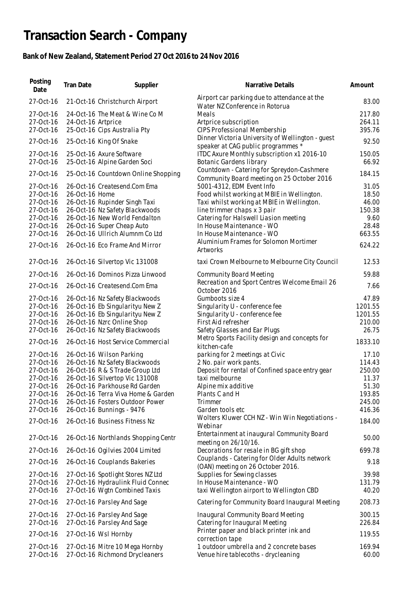## **Transaction Search - Company**

## **Bank of New Zealand, Statement Period 27 Oct 2016 to 24 Nov 2016**

| Posting<br>Date        | Tran Date          | Supplier                                                         | Narrative Details                                                                        | Amount          |
|------------------------|--------------------|------------------------------------------------------------------|------------------------------------------------------------------------------------------|-----------------|
| 27-Oct-16              |                    | 21-Oct-16 Christchurch Airport                                   | Airport car parking due to attendance at the<br>Water NZ Conference in Rotorua           | 83.00           |
| 27-Oct-16              |                    | 24-Oct-16 The Meat & Wine Co M                                   | Meals                                                                                    | 217.80          |
| 27-Oct-16              | 24-Oct-16 Artprice |                                                                  | Artprice subscription                                                                    | 264.11          |
| 27-Oct-16              |                    | 25-Oct-16 Cips Australia Pty                                     | <b>CIPS Professional Membership</b>                                                      | 395.76          |
| 27-Oct-16              |                    | 25-Oct-16 King Of Snake                                          | Dinner Victoria University of Wellington - guest<br>speaker at CAG public programmes *   | 92.50           |
| 27-Oct-16              |                    | 25-Oct-16 Axure Software                                         | ITDC Axure Monthly subscription x1 2016-10                                               | 150.05          |
| 27-Oct-16              |                    | 25-Oct-16 Alpine Garden Soci                                     | Botanic Gardens library                                                                  | 66.92           |
| 27-Oct-16              |                    | 25-Oct-16 Countdown Online Shopping                              | Countdown - Catering for Spreydon-Cashmere<br>Community Board meeting on 25 October 2016 | 184.15          |
| 27-Oct-16              |                    | 26-Oct-16 Createsend.Com Ema                                     | 5001-4312, EDM Event Info                                                                | 31.05           |
| 27-Oct-16              | 26-Oct-16 Home     |                                                                  | Food whilst working at MBIE in Wellington.                                               | 18.50           |
| 27-Oct-16              |                    | 26-Oct-16 Rupinder Singh Taxi                                    | Taxi whilst working at MBIE in Wellington.                                               | 46.00           |
| 27-Oct-16              |                    | 26-Oct-16 Nz Safety Blackwoods                                   | line trimmer chaps x 3 pair                                                              | 150.38          |
| 27-Oct-16              |                    | 26-Oct-16 New World Fendalton                                    | Catering for Halswell Liasion meeting                                                    | 9.60            |
| 27-Oct-16              |                    | 26-Oct-16 Super Cheap Auto                                       | In House Maintenance - WO                                                                | 28.48           |
| 27-Oct-16              |                    | 26-Oct-16 Ullrich Alumnm Co Ltd                                  | In House Maintenance - WO                                                                | 663.55          |
| 27-Oct-16              |                    | 26-Oct-16 Eco Frame And Mirror                                   | Aluminium Frames for Solomon Mortimer<br>Artworks                                        | 624.22          |
| 27-Oct-16              |                    | 26-Oct-16 Silvertop Vic 131008                                   | taxi Crown Melbourne to Melbourne City Council                                           | 12.53           |
| 27-Oct-16              |                    | 26-Oct-16 Dominos Pizza Linwood                                  | <b>Community Board Meeting</b>                                                           | 59.88           |
| 27-Oct-16              |                    | 26-Oct-16 Createsend.Com Ema                                     | Recreation and Sport Centres Welcome Email 26<br>October 2016                            | 7.66            |
| 27-Oct-16              |                    | 26-Oct-16 Nz Safety Blackwoods                                   | Gumboots size 4                                                                          | 47.89           |
| 27-Oct-16              |                    | 26-Oct-16 Eb Singularityu New Z                                  | Singularity U - conference fee                                                           | 1201.55         |
| 27-Oct-16              |                    | 26-Oct-16 Eb Singularityu New Z                                  | Singularity U - conference fee                                                           | 1201.55         |
| 27-Oct-16              |                    | 26-Oct-16 Nzrc Online Shop                                       | First Aid refresher                                                                      | 210.00          |
| 27-Oct-16              |                    | 26-Oct-16 Nz Safety Blackwoods                                   | Safety Glasses and Ear Plugs                                                             | 26.75           |
|                        |                    |                                                                  | Metro Sports Facility design and concepts for                                            |                 |
| 27-Oct-16              |                    | 26-Oct-16 Host Service Commercial                                | kitchen-cafe                                                                             | 1833.10         |
| 27-Oct-16              |                    | 26-Oct-16 Wilson Parking                                         | parking for 2 meetings at Civic                                                          | 17.10           |
| 27-Oct-16              |                    | 26-Oct-16 Nz Safety Blackwoods                                   | 2 No. pair work pants.                                                                   | 114.43          |
| 27-Oct-16              |                    | 26-Oct-16 R & S Trade Group Ltd                                  | Deposit for rental of Confined space entry gear                                          | 250.00          |
| 27-Oct-16              |                    | 26-Oct-16 Silvertop Vic 131008                                   | taxi melbourne                                                                           | 11.37           |
| 27-Oct-16              |                    | 26-Oct-16 Parkhouse Rd Garden                                    | Alpine mix additive                                                                      | 51.30           |
| 27-Oct-16              |                    | 26-Oct-16 Terra Viva Home & Garden                               | Plants C and H                                                                           | 193.85          |
| 27-Oct-16              |                    | 26-Oct-16 Fosters Outdoor Power                                  | <b>Trimmer</b>                                                                           | 245.00          |
| 27-Oct-16              |                    | 26-Oct-16 Bunnings - 9476                                        | Garden tools etc                                                                         | 416.36          |
| 27-Oct-16              |                    | 26-Oct-16 Business Fitness Nz                                    | Wolters Kluwer CCH NZ - Win Win Negotiations -<br>Webinar                                | 184.00          |
| 27-Oct-16              |                    | 26-Oct-16 Northlands Shopping Centr                              | Entertainment at inaugural Community Board                                               | 50.00           |
| 27-Oct-16              |                    | 26-Oct-16 Ogilvies 2004 Limited                                  | meeting on 26/10/16.<br>Decorations for resale in BG gift shop                           | 699.78          |
| 27-Oct-16              |                    | 26-Oct-16 Couplands Bakeries                                     | Couplands - Catering for Older Adults network                                            | 9.18            |
|                        |                    |                                                                  | (OAN) meeting on 26 October 2016.                                                        |                 |
| 27-Oct-16              |                    | 27-Oct-16 Spotlight Stores NZ Ltd                                | Supplies for Sewing classes                                                              | 39.98           |
| 27-Oct-16              |                    | 27-Oct-16 Hydraulink Fluid Connec                                | In House Maintenance - WO                                                                | 131.79          |
| 27-Oct-16              |                    | 27-Oct-16 Wgtn Combined Taxis                                    | taxi Wellington airport to Wellington CBD                                                | 40.20           |
| 27-Oct-16              |                    | 27-Oct-16 Parsley And Sage                                       | Catering for Community Board Inaugural Meeting                                           | 208.73          |
| 27-Oct-16              |                    | 27-Oct-16 Parsley And Sage                                       | Inaugural Community Board Meeting                                                        | 300.15          |
| 27-Oct-16              |                    | 27-Oct-16 Parsley And Sage                                       | Catering for Inaugural Meeting                                                           | 226.84          |
| 27-Oct-16              |                    | 27-Oct-16 Wsl Hornby                                             | Printer paper and black printer ink and                                                  | 119.55          |
|                        |                    |                                                                  | correction tape                                                                          |                 |
| 27-Oct-16<br>27-Oct-16 |                    | 27-Oct-16 Mitre 10 Mega Hornby<br>27-Oct-16 Richmond Drycleaners | 1 outdoor umbrella and 2 concrete bases<br>Venue hire tablecoths - drycleaning           | 169.94<br>60.00 |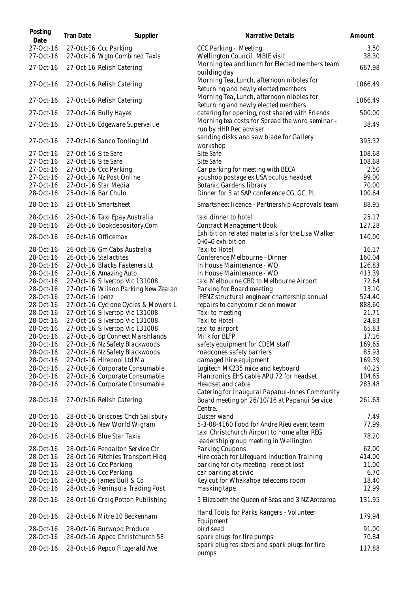| Posting<br>Date        | Tran Date           | Supplier                                                | Narrative Details                                                                             |
|------------------------|---------------------|---------------------------------------------------------|-----------------------------------------------------------------------------------------------|
| 27-Oct-16              |                     | 27-Oct-16 Ccc Parking                                   | CCC Parking - Meeting                                                                         |
| 27-Oct-16              |                     | 27-Oct-16 Wgtn Combined Taxis                           | Wellington Council, MBIE visit                                                                |
| 27-Oct-16              |                     | 27-Oct-16 Relish Catering                               | Morning tea and lunch for Elected members tean<br>building day                                |
| 27-Oct-16              |                     | 27-Oct-16 Relish Catering                               | Morning Tea, Lunch, afternoon nibbles for<br>Returning and newly elected members              |
| 27-Oct-16              |                     | 27-Oct-16 Relish Catering                               | Morning Tea, Lunch, afternoon nibbles for<br>Returning and newly elected members              |
| 27-Oct-16              |                     | 27-Oct-16 Bully Hayes                                   | catering for opening, cost shared with Friends                                                |
| 27-Oct-16              |                     | 27-Oct-16 Edgeware Supervalue                           | Morning tea costs for Spread the word seminar -<br>run by HHR Rec adviser                     |
| 27-Oct-16              |                     | 27-Oct-16 Sanco Tooling Ltd                             | sanding disks and saw blade for Gallery<br>workshop                                           |
| 27-Oct-16              | 27-Oct-16 Site Safe |                                                         | Site Safe                                                                                     |
| 27-Oct-16              | 27-Oct-16 Site Safe |                                                         | Site Safe                                                                                     |
| 27-Oct-16              |                     | 27-Oct-16 Ccc Parking                                   | Car parking for meeting with BECA                                                             |
| 27-Oct-16              |                     | 27-Oct-16 Nz Post Online                                | youshop postage ex USA oculus headset                                                         |
| 27-Oct-16              |                     | 27-Oct-16 Star Media                                    | Botanic Gardens library                                                                       |
| 28-Oct-16              |                     | 25-Oct-16 Bar Chulo                                     | Dinner for 3 at SAP conference CG, GC, PL                                                     |
| 28-Oct-16              |                     | 25-Oct-16 Smartsheet                                    | Smartsheet licence - Partnership Approvals team                                               |
| 28-Oct-16              |                     | 25-Oct-16 Taxi Epay Australia                           | taxi dinner to hotel                                                                          |
| 28-Oct-16              |                     | 26-Oct-16 Bookdepository.Com                            | <b>Contract Management Book</b>                                                               |
| 28-Oct-16              |                     | 26-Oct-16 Officemax                                     | Exhibition related materials for the Lisa Walker<br>$0+0=0$ exhibition                        |
| 28-Oct-16              |                     | 26-Oct-16 Gm Cabs Australia                             | Taxi to Hotel                                                                                 |
| 28-Oct-16              |                     | 26-Oct-16 Stalactites                                   | Conference Melbourne - Dinner                                                                 |
| 28-Oct-16              |                     | 27-Oct-16 Blacks Fasteners Lt                           | In House Maintenance - WO                                                                     |
| 28-Oct-16              |                     | 27-Oct-16 Amazing Auto                                  | In House Maintenance - WO                                                                     |
| 28-Oct-16              |                     | 27-Oct-16 Silvertop Vic 131008                          | taxi Melbourne CBD to Melbourne Airport                                                       |
|                        |                     |                                                         |                                                                                               |
| 28-Oct-16              |                     | 27-Oct-16 Wilson Parking New Zealan                     | Parking for Board meeting                                                                     |
| 28-Oct-16              | 27-Oct-16 Ipenz     |                                                         | IPENZ structural engineer chartership annual                                                  |
| 28-Oct-16              |                     | 27-Oct-16 Cyclone Cycles & Mowers L                     | repairs to canycom ride on mower                                                              |
| 28-Oct-16              |                     | 27-Oct-16 Silvertop Vic 131008                          | Taxi to meeting                                                                               |
| 28-Oct-16              |                     | 27-Oct-16 Silvertop Vic 131008                          | Taxi to Hotel                                                                                 |
| 28-Oct-16              |                     | 27-Oct-16 Silvertop Vic 131008                          | taxi to airport                                                                               |
| 28-Oct-16              |                     | 27-Oct-16 Bp Connect Marshlands                         | Milk for BLFP                                                                                 |
| 28-Oct-16              |                     | 27-Oct-16 Nz Safety Blackwoods                          | safety equipment for CDEM staff                                                               |
| 28-Oct-16              |                     | 27-Oct-16 Nz Safety Blackwoods                          | roadcones safety barriers                                                                     |
| 28-Oct-16              |                     | 27-Oct-16 Hirepool Ltd Ma                               | damaged hire equipment                                                                        |
| 28-Oct-16              |                     | 27-Oct-16 Corporate Consumable                          | Logitech MK235 mice and keyboard                                                              |
| 28-Oct-16              |                     | 27-Oct-16 Corporate Consumable                          | Plantronics EHS cable APU 72 for headset                                                      |
| 28-Oct-16              |                     | 27-Oct-16 Corporate Consumable                          | Headset and cable                                                                             |
| 28-Oct-16              |                     | 27-Oct-16 Relish Catering                               | Catering for Inaugural Papanui-Innes Communit<br>Board meeting on 26/10/16 at Papanui Service |
|                        |                     |                                                         | Centre.                                                                                       |
| 28-Oct-16              |                     | 28-Oct-16 Briscoes Chch Salisbury                       | Duster wand                                                                                   |
| 28-Oct-16<br>28-Oct-16 |                     | 28-Oct-16 New World Wigram<br>28-Oct-16 Blue Star Taxis | 5-3-08-4160 Food for Andre Rieu event team<br>taxi Christchurch Airport to home after REG     |
|                        |                     |                                                         | leadership group meeting in Wellington                                                        |
| 28-Oct-16              |                     | 28-Oct-16 Fendalton Service Ctr                         | Parking Coupons                                                                               |
| 28-Oct-16              |                     | 28-Oct-16 Ritchies Transport Hldg                       | Hire coach for Lifeguard Induction Training                                                   |
| 28-Oct-16              |                     | 28-Oct-16 Ccc Parking                                   | parking for city meeting - receipt lost                                                       |
| 28-Oct-16              |                     | 28-Oct-16 Ccc Parking                                   | car parking at civic                                                                          |
| 28-Oct-16              |                     | 28-Oct-16 James Bull & Co                               | Key cut for Whakahoa telecoms room                                                            |
| 28-Oct-16              |                     | 28-Oct-16 Peninsula Trading Post                        | masking tape                                                                                  |
| 28-Oct-16              |                     | 28-Oct-16 Craig Potton Publishing                       | 5 Elizabeth the Queen of Seas and 3 NZ Aotearoa                                               |
| 28-Oct-16              |                     | 28-Oct-16 Mitre 10 Beckenham                            | Hand Tools for Parks Rangers - Volunteer<br>Equipment                                         |
| 28-Oct-16              |                     | 28-Oct-16 Burwood Produce                               | bird seed                                                                                     |
| 28-Oct-16              |                     | 28-Oct-16 Appco Christchurch 58                         | spark plugs for fire pumps                                                                    |
| 28-Oct-16              |                     | 28-Oct-16 Repco Fitzgerald Ave                          | spark plug resistors and spark plugs for fire<br>numne                                        |

| .<br>Date              | Tran Date           | Supplier                                                     | Narrative Details                                                                              | Amount         |
|------------------------|---------------------|--------------------------------------------------------------|------------------------------------------------------------------------------------------------|----------------|
| 27-Oct-16              |                     | 27-Oct-16 Ccc Parking                                        | CCC Parking - Meeting                                                                          | 3.50           |
| 27-Oct-16              |                     | 27-Oct-16 Wgtn Combined Taxis                                | Wellington Council, MBIE visit                                                                 | 38.30          |
| 27-Oct-16              |                     | 27-Oct-16 Relish Catering                                    | Morning tea and lunch for Elected members team<br>building day                                 | 667.98         |
| 27-Oct-16              |                     | 27-Oct-16 Relish Catering                                    | Morning Tea, Lunch, afternoon nibbles for<br>Returning and newly elected members               | 1066.49        |
| 27-Oct-16              |                     | 27-Oct-16 Relish Catering                                    | Morning Tea, Lunch, afternoon nibbles for<br>Returning and newly elected members               | 1066.49        |
| 27-Oct-16              |                     | 27-Oct-16 Bully Hayes                                        | catering for opening, cost shared with Friends                                                 | 500.00         |
| 27-Oct-16              |                     | 27-Oct-16 Edgeware Supervalue                                | Morning tea costs for Spread the word seminar -<br>run by HHR Rec adviser                      | 38.49          |
| 27-Oct-16              |                     | 27-Oct-16 Sanco Tooling Ltd                                  | sanding disks and saw blade for Gallery<br>workshop                                            | 395.32         |
| 27-Oct-16              | 27-Oct-16 Site Safe |                                                              | Site Safe                                                                                      | 108.68         |
| 27-Oct-16              | 27-Oct-16 Site Safe |                                                              | Site Safe                                                                                      | 108.68         |
| 27-Oct-16              |                     | 27-Oct-16 Ccc Parking                                        | Car parking for meeting with BECA                                                              | 2.50           |
| 27-Oct-16              |                     | 27-Oct-16 Nz Post Online                                     | youshop postage ex USA oculus headset                                                          | 99.00          |
| 27-Oct-16              |                     | 27-Oct-16 Star Media                                         | Botanic Gardens library                                                                        | 70.00          |
| 28-Oct-16              |                     | 25-Oct-16 Bar Chulo                                          | Dinner for 3 at SAP conference CG, GC, PL                                                      | 100.64         |
| 28-Oct-16              |                     | 25-Oct-16 Smartsheet                                         | Smartsheet licence - Partnership Approvals team                                                | 88.95          |
| 28-Oct-16              |                     | 25-Oct-16 Taxi Epay Australia                                | taxi dinner to hotel                                                                           | 25.17          |
| 28-Oct-16              |                     | 26-Oct-16 Bookdepository.Com                                 | Contract Management Book                                                                       | 127.28         |
| 28-Oct-16              |                     | 26-Oct-16 Officemax                                          | Exhibition related materials for the Lisa Walker<br>$0+0=0$ exhibition                         | 140.00         |
| 28-Oct-16              |                     | 26-Oct-16 Gm Cabs Australia                                  | Taxi to Hotel                                                                                  | 16.17          |
| 28-Oct-16              |                     | 26-Oct-16 Stalactites                                        | Conference Melbourne - Dinner                                                                  | 160.04         |
| 28-Oct-16              |                     | 27-Oct-16 Blacks Fasteners Lt                                | In House Maintenance - WO                                                                      | 126.83         |
| 28-Oct-16              |                     | 27-Oct-16 Amazing Auto                                       | In House Maintenance - WO                                                                      | 413.39         |
| 28-Oct-16              |                     | 27-Oct-16 Silvertop Vic 131008                               | taxi Melbourne CBD to Melbourne Airport                                                        | 72.64          |
| 28-Oct-16              |                     | 27-Oct-16 Wilson Parking New Zealan                          | Parking for Board meeting                                                                      | 13.10          |
| 28-Oct-16              | 27-Oct-16 Ipenz     |                                                              | IPENZ structural engineer chartership annual                                                   | 524.40         |
| 28-Oct-16              |                     | 27-Oct-16 Cyclone Cycles & Mowers L                          | repairs to canycom ride on mower                                                               | 888.60         |
| 28-Oct-16              |                     | 27-Oct-16 Silvertop Vic 131008                               | Taxi to meeting                                                                                | 21.71          |
| 28-Oct-16              |                     | 27-Oct-16 Silvertop Vic 131008                               | Taxi to Hotel                                                                                  | 24.83          |
| 28-Oct-16              |                     | 27-Oct-16 Silvertop Vic 131008                               | taxi to airport                                                                                | 65.83          |
| 28-Oct-16              |                     | 27-Oct-16 Bp Connect Marshlands                              | Milk for BLFP                                                                                  | 17.16          |
| 28-Oct-16              |                     | 27-Oct-16 Nz Safety Blackwoods                               | safety equipment for CDEM staff                                                                | 169.65         |
| 28-Oct-16              |                     | 27-Oct-16 Nz Safety Blackwoods                               | roadcones safety barriers                                                                      | 85.93          |
| 28-Oct-16              |                     | 27-Oct-16 Hirepool Ltd Ma                                    | damaged hire equipment                                                                         | 169.39         |
| 28-Oct-16              |                     | 27-Oct-16 Corporate Consumable                               | Logitech MK235 mice and keyboard                                                               | 40.25          |
| 28-Oct-16              |                     | 27-Oct-16 Corporate Consumable                               | Plantronics EHS cable APU 72 for headset                                                       | 104.65         |
| 28-Oct-16              |                     | 27-Oct-16 Corporate Consumable                               | Headset and cable                                                                              | 283.48         |
| 28-Oct-16              |                     | 27-Oct-16 Relish Catering                                    | Catering for Inaugural Papanui-Innes Community<br>Board meeting on 26/10/16 at Papanui Service | 261.63         |
|                        |                     |                                                              | Centre.                                                                                        |                |
| 28-Oct-16              |                     | 28-Oct-16 Briscoes Chch Salisbury                            | Duster wand                                                                                    | 7.49           |
| 28-Oct-16              |                     | 28-Oct-16 New World Wigram                                   | 5-3-08-4160 Food for Andre Rieu event team                                                     | 77.99          |
| 28-Oct-16              |                     | 28-Oct-16 Blue Star Taxis                                    | taxi Christchurch Airport to home after REG<br>leadership group meeting in Wellington          | 78.20          |
| 28-Oct-16              |                     | 28-Oct-16 Fendalton Service Ctr                              | Parking Coupons                                                                                | 62.00          |
| 28-Oct-16              |                     | 28-Oct-16 Ritchies Transport Hldg                            | Hire coach for Lifeguard Induction Training                                                    | 414.00         |
| 28-Oct-16              |                     | 28-Oct-16 Ccc Parking                                        | parking for city meeting - receipt lost                                                        | 11.00          |
| 28-Oct-16              |                     | 28-Oct-16 Ccc Parking                                        | car parking at civic                                                                           | 6.70           |
| 28-Oct-16              |                     | 28-Oct-16 James Bull & Co                                    | Key cut for Whakahoa telecoms room                                                             | 18.40          |
| 28-Oct-16              |                     | 28-Oct-16 Peninsula Trading Post                             | masking tape                                                                                   | 12.99          |
| 28-Oct-16              |                     | 28-Oct-16 Craig Potton Publishing                            | 5 Elizabeth the Queen of Seas and 3 NZ Aotearoa                                                | 131.95         |
| 28-Oct-16              |                     | 28-Oct-16 Mitre 10 Beckenham                                 | Hand Tools for Parks Rangers - Volunteer<br>Equipment                                          | 179.94         |
| 28-Oct-16<br>28-Oct-16 |                     | 28-Oct-16 Burwood Produce<br>28-Oct-16 Appco Christchurch 58 | bird seed<br>spark plugs for fire pumps                                                        | 91.00<br>70.84 |
|                        |                     |                                                              | spark plug resistors and spark plugs for fire                                                  |                |
| 28-Oct-16              |                     | 28-Oct-16 Repco Fitzgerald Ave                               | pumps                                                                                          | 117.88         |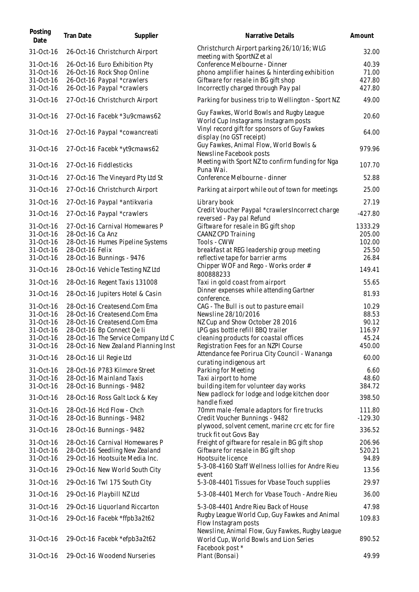| Posting<br>Date        | Tran Date        | Supplier                                               | Narrative Details                                                                                                        | Amount              |
|------------------------|------------------|--------------------------------------------------------|--------------------------------------------------------------------------------------------------------------------------|---------------------|
| 31-Oct-16              |                  | 26-Oct-16 Christchurch Airport                         | Christchurch Airport parking 26/10/16; WLG<br>meeting with SportNZ et al                                                 | 32.00               |
| 31-Oct-16              |                  | 26-Oct-16 Euro Exhibition Pty                          | Conference Melbourne - Dinner                                                                                            | 40.39               |
| 31-Oct-16              |                  | 26-Oct-16 Rock Shop Online                             | phono amplifier haines & hinterding exhibition                                                                           | 71.00               |
| 31-Oct-16              |                  | 26-Oct-16 Paypal *crawlers                             | Giftware for resale in BG gift shop                                                                                      | 427.80              |
| 31-Oct-16              |                  | 26-Oct-16 Paypal *crawlers                             | Incorrectly charged through Pay pal                                                                                      | 427.80              |
| 31-Oct-16              |                  | 27-Oct-16 Christchurch Airport                         | Parking for business trip to Wellington - Sport NZ                                                                       | 49.00               |
| 31-Oct-16              |                  | 27-Oct-16 Facebk *3u9cmaws62                           | Guy Fawkes, World Bowls and Rugby League<br>World Cup Instagrams Instagram posts                                         | 20.60               |
| 31-Oct-16              |                  | 27-Oct-16 Paypal *cowancreati                          | Vinyl record gift for sponsors of Guy Fawkes<br>display (no GST receipt)                                                 | 64.00               |
| 31-Oct-16              |                  | 27-Oct-16 Facebk *yt9cmaws62                           | Guy Fawkes, Animal Flow, World Bowls &<br>Newsline Facebook posts                                                        | 979.96              |
| 31-Oct-16              |                  | 27-Oct-16 Fiddlesticks                                 | Meeting with Sport NZ to confirm funding for Nga<br>Puna Wai.                                                            | 107.70              |
| 31-Oct-16              |                  | 27-Oct-16 The Vineyard Pty Ltd St                      | Conference Melbourne - dinner                                                                                            | 52.88               |
| 31-Oct-16              |                  | 27-Oct-16 Christchurch Airport                         | Parking at airport while out of town for meetings                                                                        | 25.00               |
| 31-Oct-16              |                  | 27-Oct-16 Paypal *antikvaria                           | Library book                                                                                                             | 27.19               |
| 31-Oct-16              |                  | 27-Oct-16 Paypal *crawlers                             | Credit Voucher Paypal *crawlersIncorrect charge<br>reversed - Pay pal Refund                                             | $-427.80$           |
| 31-Oct-16              |                  | 27-Oct-16 Carnival Homewares P                         | Giftware for resale in BG gift shop                                                                                      | 1333.29             |
| 31-Oct-16              | 28-Oct-16 Ca Anz |                                                        | CAANZ CPD Training                                                                                                       | 205.00              |
| 31-Oct-16              |                  | 28-Oct-16 Humes Pipeline Systems                       | Tools - CWW                                                                                                              | 102.00              |
| 31-Oct-16<br>31-Oct-16 | 28-Oct-16 Felix  | 28-Oct-16 Bunnings - 9476                              | breakfast at REG leadership group meeting<br>reflective tape for barrier arms                                            | 25.50<br>26.84      |
| 31-Oct-16              |                  | 28-Oct-16 Vehicle Testing NZ Ltd                       | Chipper WOF and Rego - Works order #                                                                                     | 149.41              |
| 31-Oct-16              |                  | 28-Oct-16 Regent Taxis 131008                          | 800888233<br>Taxi in gold coast from airport                                                                             | 55.65               |
| 31-Oct-16              |                  | 28-Oct-16 Jupiters Hotel & Casin                       | Dinner expenses while attending Gartner<br>conference.                                                                   | 81.93               |
| 31-Oct-16              |                  | 28-Oct-16 Createsend.Com Ema                           | CAG - The Bull is out to pasture email                                                                                   | 10.29               |
| 31-Oct-16              |                  | 28-Oct-16 Createsend.Com Ema                           | Newsline 28/10/2016                                                                                                      | 88.53               |
| 31-Oct-16              |                  | 28-Oct-16 Createsend.Com Ema                           | NZ Cup and Show October 28 2016                                                                                          | 90.12               |
| 31-Oct-16              |                  | 28-Oct-16 Bp Connect Qe Ii                             | LPG gas bottle refill BBQ trailer                                                                                        | 116.97              |
| 31-Oct-16              |                  | 28-Oct-16 The Service Company Ltd C                    | cleaning products for coastal offices                                                                                    | 45.24               |
| 31-Oct-16              |                  | 28-Oct-16 New Zealand Planning Inst                    | Registration Fees for an NZPI Course                                                                                     | 450.00              |
| 31-Oct-16              |                  | 28-Oct-16 Lil Regie Ltd                                | Attendance fee Porirua City Council - Wananga<br>curating indigenous art                                                 | 60.00               |
| 31-Oct-16              |                  | 28-Oct-16 P783 Kilmore Street                          | Parking for Meeting                                                                                                      | 6.60                |
| 31-Oct-16              |                  | 28-Oct-16 Mainland Taxis                               | Taxi airport to home                                                                                                     | 48.60               |
| 31-Oct-16              |                  | 28-Oct-16 Bunnings - 9482                              | building item for volunteer day works                                                                                    | 384.72              |
| 31-Oct-16              |                  | 28-Oct-16 Ross Galt Lock & Key                         | New padlock for lodge and lodge kitchen door<br>handle fixed                                                             | 398.50              |
| 31-Oct-16<br>31-Oct-16 |                  | 28-Oct-16 Hcd Flow - Chch<br>28-Oct-16 Bunnings - 9482 | 70mm male-female adaptors for fire trucks                                                                                | 111.80<br>$-129.30$ |
| 31-Oct-16              |                  |                                                        | Credit Voucher Bunnings - 9482<br>plywood, solvent cement, marine crc etc for fire                                       | 336.52              |
|                        |                  | 28-Oct-16 Bunnings - 9482                              | truck fit out Govs Bay                                                                                                   |                     |
| 31-Oct-16              |                  | 28-Oct-16 Carnival Homewares P                         | Freight of giftware for resale in BG gift shop                                                                           | 206.96              |
| 31-Oct-16              |                  | 28-Oct-16 Seedling New Zealand                         | Giftware for resale in BG gift shop                                                                                      | 520.21              |
| 31-Oct-16              |                  | 29-Oct-16 Hootsuite Media Inc.                         | Hootsuite licence<br>5-3-08-4160 Staff Wellness Iollies for Andre Rieu                                                   | 94.89               |
| 31-Oct-16              |                  | 29-Oct-16 New World South City                         | event                                                                                                                    | 13.56               |
| 31-Oct-16              |                  | 29-Oct-16 Twl 175 South City                           | 5-3-08-4401 Tissues for Vbase Touch supplies                                                                             | 29.97               |
| 31-Oct-16              |                  | 29-Oct-16 Playbill NZ Ltd                              | 5-3-08-4401 Merch for Vbase Touch - Andre Rieu                                                                           | 36.00               |
| 31-Oct-16              |                  | 29-Oct-16 Liquorland Riccarton                         | 5-3-08-4401 Andre Rieu Back of House                                                                                     | 47.98               |
| 31-Oct-16              |                  | 29-Oct-16 Facebk *ffpb3a2t62                           | Rugby League World Cup, Guy Fawkes and Animal<br>Flow Instagram posts<br>Newsline, Animal Flow, Guy Fawkes, Rugby League | 109.83              |
| 31-Oct-16              |                  | 29-Oct-16 Facebk *efpb3a2t62                           | World Cup, World Bowls and Lion Series<br>Facebook post *                                                                | 890.52              |
| 31-Oct-16              |                  | 29-Oct-16 Woodend Nurseries                            | Plant (Bonsai)                                                                                                           | 49.99               |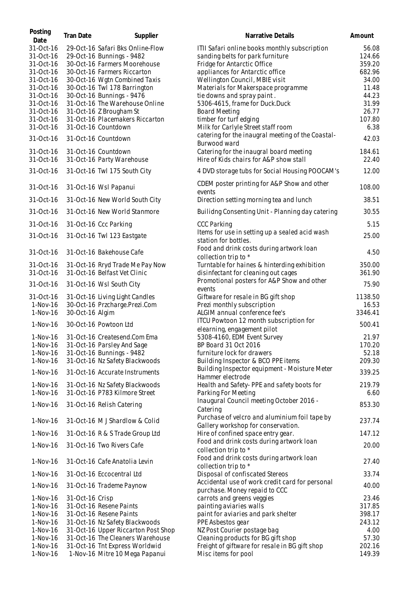| Posting<br>Date | Tran Date       | Supplier                            | Narrative Details                                                                  | Amount  |
|-----------------|-----------------|-------------------------------------|------------------------------------------------------------------------------------|---------|
| 31-Oct-16       |                 | 29-Oct-16 Safari Bks Online-Flow    | ITII Safari online books monthly subscription                                      | 56.08   |
| 31-Oct-16       |                 | 29-Oct-16 Bunnings - 9482           | sanding belts for park furniture                                                   | 124.66  |
| 31-Oct-16       |                 | 30-Oct-16 Farmers Moorehouse        | Fridge for Antarctic Office                                                        | 359.20  |
| 31-Oct-16       |                 | 30-Oct-16 Farmers Riccarton         | appliances for Antarctic office                                                    | 682.96  |
| 31-Oct-16       |                 | 30-Oct-16 Wgtn Combined Taxis       | Wellington Council, MBIE visit                                                     | 34.00   |
| 31-Oct-16       |                 | 30-Oct-16 Twl 178 Barrington        | Materials for Makerspace programme                                                 | 11.48   |
| 31-Oct-16       |                 | 30-Oct-16 Bunnings - 9476           | tie downs and spray paint.                                                         | 44.23   |
|                 |                 |                                     |                                                                                    |         |
| 31-Oct-16       |                 | 31-Oct-16 The Warehouse Online      | 5306-4615, frame for Duck.Duck                                                     | 31.99   |
| 31-Oct-16       |                 | 31-Oct-16 Z Brougham St             | <b>Board Meeting</b>                                                               | 26.77   |
| 31-Oct-16       |                 | 31-Oct-16 Placemakers Riccarton     | timber for turf edging                                                             | 107.80  |
| 31-Oct-16       |                 | 31-Oct-16 Countdown                 | Milk for Carlyle Street staff room                                                 | 6.38    |
| 31-Oct-16       |                 | 31-Oct-16 Countdown                 | catering for the inaugral meeting of the Coastal-<br>Burwood ward                  | 42.03   |
| 31-Oct-16       |                 | 31-Oct-16 Countdown                 | Catering for the inaugral board meeting                                            | 184.61  |
| 31-Oct-16       |                 | 31-Oct-16 Party Warehouse           | Hire of Kids chairs for A&P show stall                                             | 22.40   |
| 31-Oct-16       |                 | 31-Oct-16 Twl 175 South City        | 4 DVD storage tubs for Social Housing POOCAM's                                     | 12.00   |
|                 |                 |                                     | CDEM poster printing for A&P Show and other                                        |         |
| 31-Oct-16       |                 | 31-Oct-16 Wsl Papanui               | events                                                                             | 108.00  |
| 31-Oct-16       |                 | 31-Oct-16 New World South City      | Direction setting morning tea and lunch                                            | 38.51   |
| 31-Oct-16       |                 | 31-Oct-16 New World Stanmore        | Builidng Consenting Unit - Planning day catering                                   | 30.55   |
| 31-Oct-16       |                 | 31-Oct-16 Ccc Parking               | <b>CCC Parking</b>                                                                 | 5.15    |
| 31-Oct-16       |                 | 31-Oct-16 Twl 123 Eastgate          | Items for use in setting up a sealed acid wash<br>station for bottles.             | 25.00   |
| 31-Oct-16       |                 | 31-Oct-16 Bakehouse Cafe            | Food and drink costs during artwork loan<br>collection trip to *                   | 4.50    |
| 31-Oct-16       |                 | 31-Oct-16 Rryd Trade Me Pay Now     | Turntable for haines & hinterding exhibition                                       | 350.00  |
| 31-Oct-16       |                 | 31-Oct-16 Belfast Vet Clinic        | disinfectant for cleaning out cages                                                | 361.90  |
| 31-Oct-16       |                 | 31-Oct-16 Wsl South City            | Promotional posters for A&P Show and other                                         | 75.90   |
|                 |                 |                                     | events                                                                             |         |
| 31-Oct-16       |                 | 31-Oct-16 Living Light Candles      | Giftware for resale in BG gift shop                                                | 1138.50 |
| 1-Nov-16        |                 | 30-Oct-16 Przcharge.Prezi.Com       | Prezi monthly subscription                                                         | 16.53   |
| 1-Nov-16        | 30-Oct-16 Algim |                                     | ALGIM annual conference fee's                                                      | 3346.41 |
| 1-Nov-16        |                 | 30-Oct-16 Powtoon Ltd               | ITCU Powtoon 12 month subscription for                                             | 500.41  |
|                 |                 |                                     | elearning, engagement pilot                                                        |         |
| $1-Nov-16$      |                 | 31-Oct-16 Createsend.Com Ema        | 5308-4160, EDM Event Survey                                                        | 21.97   |
| 1-Nov-16        |                 | 31-Oct-16 Parsley And Sage          | BP Board 31 Oct 2016                                                               | 170.20  |
| 1-Nov-16        |                 | 31-Oct-16 Bunnings - 9482           | furniture lock for drawers                                                         | 52.18   |
| $1-Nov-16$      |                 | 31-Oct-16 Nz Safety Blackwoods      | Building Inspector & BCO PPE items                                                 | 209.30  |
| 1-Nov-16        |                 | 31-Oct-16 Accurate Instruments      | Building Inspector equipment - Moisture Meter<br>Hammer electrode                  | 339.25  |
| 1-Nov-16        |                 |                                     |                                                                                    | 219.79  |
|                 |                 | 31-Oct-16 Nz Safety Blackwoods      | Health and Safety-PPE and safety boots for                                         |         |
| 1-Nov-16        |                 | 31-Oct-16 P783 Kilmore Street       | Parking For Meeting                                                                | 6.60    |
| 1-Nov-16        |                 | 31-Oct-16 Relish Catering           | Inaugural Council meeting October 2016 -<br>Catering                               | 853.30  |
|                 |                 |                                     | Purchase of velcro and aluminium foil tape by                                      |         |
| 1-Nov-16        |                 | 31-Oct-16 MJ Shardlow & Colid       | Gallery workshop for conservation.                                                 | 237.74  |
| 1-Nov-16        |                 | 31-Oct-16 R & S Trade Group Ltd     | Hire of confined space entry gear.                                                 | 147.12  |
| 1-Nov-16        |                 | 31-Oct-16 Two Rivers Cafe           | Food and drink costs during artwork loan<br>collection trip to *                   | 20.00   |
| 1-Nov-16        |                 | 31-Oct-16 Cafe Anatolia Levin       | Food and drink costs during artwork loan                                           | 27.40   |
|                 |                 |                                     | collection trip to *                                                               |         |
| 1-Nov-16        |                 | 31-Oct-16 Eccocentral Ltd           | Disposal of confiscated Stereos<br>Accidental use of work credit card for personal | 33.74   |
| 1-Nov-16        |                 | 31-Oct-16 Trademe Paynow            | purchase. Money repaid to CCC                                                      | 40.00   |
| $1-Nov-16$      | 31-Oct-16 Crisp |                                     | carrots and greens veggies                                                         | 23.46   |
| $1-Nov-16$      |                 | 31-Oct-16 Resene Paints             | painting aviaries walls                                                            | 317.85  |
| $1-Nov-16$      |                 | 31-Oct-16 Resene Paints             | paint for aviaries and park shelter                                                | 398.17  |
| $1-Nov-16$      |                 | 31-Oct-16 Nz Safety Blackwoods      | PPE Asbestos gear                                                                  | 243.12  |
| $1-Nov-16$      |                 | 31-Oct-16 Upper Riccarton Post Shop | NZ Post Courier postage bag                                                        | 4.00    |
| $1-Nov-16$      |                 | 31-Oct-16 The Cleaners Warehouse    | Cleaning products for BG gift shop                                                 | 57.30   |
| $1-Nov-16$      |                 | 31-Oct-16 Tnt Express Worldwid      | Freight of giftware for resale in BG gift shop                                     | 202.16  |
| 1-Nov-16        |                 | 1-Nov-16 Mitre 10 Mega Papanui      | Misc items for pool                                                                | 149.39  |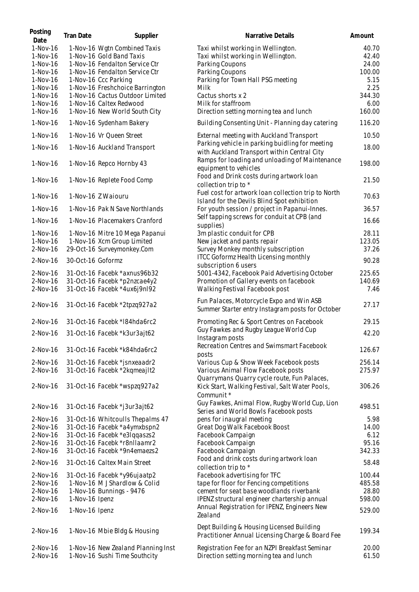| Posting<br>Date        | <b>Tran Date</b>  | Supplier                                                            | Narrative Details                                                                              | Amount         |
|------------------------|-------------------|---------------------------------------------------------------------|------------------------------------------------------------------------------------------------|----------------|
| $1-Nov-16$             |                   | 1-Nov-16 Wgtn Combined Taxis                                        | Taxi whilst working in Wellington.                                                             | 40.70          |
| 1-Nov-16               |                   | 1-Nov-16 Gold Band Taxis                                            | Taxi whilst working in Wellington.                                                             | 42.40          |
| 1-Nov-16               |                   | 1-Nov-16 Fendalton Service Ctr                                      | Parking Coupons                                                                                | 24.00          |
| 1-Nov-16               |                   | 1-Nov-16 Fendalton Service Ctr                                      | Parking Coupons                                                                                | 100.00         |
| $1-Nov-16$             |                   | 1-Nov-16 Ccc Parking                                                | Parking for Town Hall PSG meeting                                                              | 5.15           |
| $1-Nov-16$             |                   | 1-Nov-16 Freshchoice Barrington                                     | Milk                                                                                           | 2.25           |
| 1-Nov-16               |                   | 1-Nov-16 Cactus Outdoor Limited                                     | Cactus shorts x 2                                                                              | 344.30         |
| 1-Nov-16               |                   | 1-Nov-16 Caltex Redwood                                             | Milk for staffroom                                                                             | 6.00           |
| 1-Nov-16               |                   | 1-Nov-16 New World South City                                       | Direction setting morning tea and lunch                                                        | 160.00         |
| 1-Nov-16               |                   | 1-Nov-16 Sydenham Bakery                                            | Building Consenting Unit - Planning day catering                                               | 116.20         |
| 1-Nov-16               |                   | 1-Nov-16 Vr Queen Street                                            | External meeting with Auckland Transport                                                       | 10.50          |
| 1-Nov-16               |                   | 1-Nov-16 Auckland Transport                                         | Parking vehicle in parking buidling for meeting<br>with Auckland Transport within Central City | 18.00          |
| 1-Nov-16               |                   | 1-Nov-16 Repco Hornby 43                                            | Ramps for loading and unloading of Maintenance<br>equipment to vehicles                        | 198.00         |
| 1-Nov-16               |                   | 1-Nov-16 Replete Food Comp                                          | Food and Drink costs during artwork loan<br>collection trip to *                               | 21.50          |
| 1-Nov-16               |                   | 1-Nov-16 Z Waiouru                                                  | Fuel cost for artwork loan collection trip to North                                            | 70.63          |
| 1-Nov-16               |                   | 1-Nov-16 Pak N Save Northlands                                      | Island for the Devils Blind Spot exhibition<br>For youth session / project in Papanui-Innes.   | 36.57          |
| 1-Nov-16               |                   | 1-Nov-16 Placemakers Cranford                                       | Self tapping screws for conduit at CPB (and<br>supplies)                                       | 16.66          |
| $1-Nov-16$             |                   | 1-Nov-16 Mitre 10 Mega Papanui                                      | 3m plastic conduit for CPB                                                                     | 28.11          |
| 1-Nov-16               |                   | 1-Nov-16 Xcm Group Limited                                          | New jacket and pants repair                                                                    | 123.05         |
|                        |                   | 29-Oct-16 Surveymonkey.Com                                          |                                                                                                | 37.26          |
| $2-Nov-16$             |                   |                                                                     | Survey Monkey monthly subscription<br><b>ITCC Goformz Health Licensing monthly</b>             |                |
| 2-Nov-16               | 30-Oct-16 Goformz |                                                                     | subscription 6 users                                                                           | 90.28          |
| 2-Nov-16               |                   | 31-Oct-16 Facebk *axnus96b32                                        | 5001-4342, Facebook Paid Advertising October                                                   | 225.65         |
| 2-Nov-16               |                   | 31-Oct-16 Facebk *p2nzcae4y2                                        | Promotion of Gallery events on facebook                                                        | 140.69         |
| $2-Nov-16$             |                   | 31-Oct-16 Facebk *4ux6j9nl92                                        | Walking Festival Facebook post                                                                 | 7.46           |
| 2-Nov-16               |                   | 31-Oct-16 Facebk *2tpzq927a2                                        | Fun Palaces, Motorcycle Expo and Win ASB<br>Summer Starter entry Instagram posts for October   | 27.17          |
| 2-Nov-16               |                   | 31-Oct-16 Facebk *I84hda6rc2                                        | Promoting Rec & Sport Centres on Facebook                                                      | 29.15          |
| $2-Nov-16$             |                   | 31-Oct-16 Facebk *k3ur3ajt62                                        | Guy Fawkes and Rugby League World Cup                                                          | 42.20          |
| $2-Nov-16$             |                   | 31-Oct-16 Facebk *k84hda6rc2                                        | Instagram posts<br>Recreation Centres and Swimsmart Facebook                                   | 126.67         |
| $2-Nov-16$             |                   | 31-Oct-16 Facebk *jsnxeaadr2                                        | posts<br>Various Cup & Show Week Facebook posts                                                | 256.14         |
| 2-Nov-16               |                   |                                                                     |                                                                                                | 275.97         |
|                        |                   | 31-Oct-16 Facebk *2kqmeajlt2                                        | Various Animal Flow Facebook posts<br>Quarrymans Quarry cycle route, Fun Palaces,              |                |
| $2-Nov-16$             |                   | 31-Oct-16 Facebk *wspzq927a2                                        | Kick Start, Walking Festival, Salt Water Pools,<br>Communit *                                  | 306.26         |
| $2-Nov-16$             |                   | 31-Oct-16 Facebk *j3ur3ajt62                                        | Guy Fawkes, Animal Flow, Rugby World Cup, Lion<br>Series and World Bowls Facebook posts        | 498.51         |
| $2-Nov-16$             |                   | 31-Oct-16 Whitcoulls Thepalms 47                                    | pens for inaugral meeting                                                                      | 5.98           |
| $2-Nov-16$             |                   | 31-Oct-16 Facebk *a4ymxbspn2                                        | Great Dog Walk Facebook Boost                                                                  | 14.00          |
| $2-Nov-16$             |                   | 31-Oct-16 Facebk *e3lqqaszs2                                        | Facebook Campaign                                                                              | 6.12           |
| $2-Nov-16$             |                   | 31-Oct-16 Facebk *r8nllaamr2                                        | Facebook Campaign                                                                              | 95.16          |
| 2-Nov-16               |                   | 31-Oct-16 Facebk *9n4emaezs2                                        | Facebook Campaign                                                                              | 342.33         |
| 2-Nov-16               |                   | 31-Oct-16 Caltex Main Street                                        | Food and drink costs during artwork loan<br>collection trip to *                               | 58.48          |
| $2-Nov-16$             |                   | 31-Oct-16 Facebk *y96ujaatp2                                        | Facebook advertising for TFC                                                                   | 100.44         |
| $2-Nov-16$             |                   | 1-Nov-16 M J Shardlow & Colid                                       | tape for floor for Fencing competitions                                                        | 485.58         |
| $2-Nov-16$             |                   | 1-Nov-16 Bunnings - 9476                                            | cement for seat base woodlands riverbank                                                       | 28.80          |
| 2-Nov-16               | 1-Nov-16 Ipenz    |                                                                     | IPENZ structural engineer chartership annual                                                   | 598.00         |
| 2-Nov-16               | 1-Nov-16 Ipenz    |                                                                     | Annual Registration for IPENZ, Engineers New                                                   | 529.00         |
|                        |                   |                                                                     | Zealand                                                                                        |                |
| 2-Nov-16               |                   | 1-Nov-16 Mbie Bldg & Housing                                        | Dept Building & Housing Licensed Building<br>Practitioner Annual Licensing Charge & Board Fee  | 199.34         |
| $2-Nov-16$<br>2-Nov-16 |                   | 1-Nov-16 New Zealand Planning Inst<br>1-Nov-16 Sushi Time Southcity | Registration Fee for an NZPI Breakfast Seminar<br>Direction setting morning tea and lunch      | 20.00<br>61.50 |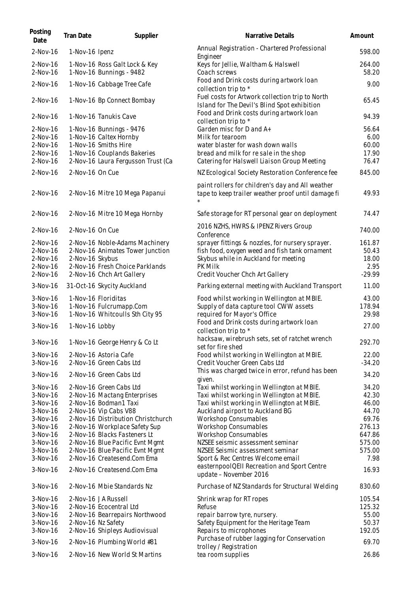| Posting<br>Date          | <b>Tran Date</b> | Supplier                                                     | Narrative Details                                                                                      | Amount           |
|--------------------------|------------------|--------------------------------------------------------------|--------------------------------------------------------------------------------------------------------|------------------|
| $2-Nov-16$               | 1-Nov-16 Ipenz   |                                                              | Annual Registration - Chartered Professional<br>Engineer                                               | 598.00           |
| $2-Nov-16$<br>2-Nov-16   |                  | 1-Nov-16 Ross Galt Lock & Key<br>1-Nov-16 Bunnings - 9482    | Keys for Jellie, Waltham & Halswell<br>Coach screws                                                    | 264.00<br>58.20  |
| 2-Nov-16                 |                  | 1-Nov-16 Cabbage Tree Cafe                                   | Food and Drink costs during artwork loan<br>collection trip to *                                       | 9.00             |
| 2-Nov-16                 |                  | 1-Nov-16 Bp Connect Bombay                                   | Fuel costs for Artwork collection trip to North<br>Island for The Devil's Blind Spot exhibition        | 65.45            |
| 2-Nov-16                 |                  | 1-Nov-16 Tanukis Cave                                        | Food and Drink costs during artwork loan<br>collection trip to *                                       | 94.39            |
| 2-Nov-16                 |                  | 1-Nov-16 Bunnings - 9476                                     | Garden misc for D and A+                                                                               | 56.64            |
| $2-Nov-16$               |                  | 1-Nov-16 Caltex Hornby                                       | Milk for tearoom                                                                                       | 6.00             |
| 2-Nov-16                 |                  | 1-Nov-16 Smiths Hire                                         | water blaster for wash down walls                                                                      | 60.00            |
| 2-Nov-16                 |                  | 1-Nov-16 Couplands Bakeries                                  | bread and milk for re sale in the shop                                                                 | 17.90            |
| 2-Nov-16                 |                  | 2-Nov-16 Laura Fergusson Trust (Ca                           | Catering for Halswell Liaison Group Meeting                                                            | 76.47            |
| 2-Nov-16                 | 2-Nov-16 On Cue  |                                                              | NZ Ecological Society Restoration Conference fee                                                       | 845.00           |
| 2-Nov-16                 |                  | 2-Nov-16 Mitre 10 Mega Papanui                               | paint rollers for children's day and All weather<br>tape to keep trailer weather proof until damage fi | 49.93            |
| 2-Nov-16                 |                  | 2-Nov-16 Mitre 10 Mega Hornby                                | Safe storage for RT personal gear on deployment                                                        | 74.47            |
| 2-Nov-16                 | 2-Nov-16 On Cue  |                                                              | 2016 NZHS, HWRS & IPENZ Rivers Group<br>Conference                                                     | 740.00           |
| 2-Nov-16                 |                  | 2-Nov-16 Noble-Adams Machinery                               | sprayer fittings & nozzles, for nursery sprayer.                                                       | 161.87           |
| 2-Nov-16                 |                  | 2-Nov-16 Animates Tower Junction                             | fish food, oxygen weed and fish tank ornament                                                          | 50.43            |
| 2-Nov-16                 | 2-Nov-16 Skybus  |                                                              | Skybus while in Auckland for meeting                                                                   | 18.00            |
| $2-Nov-16$<br>$2-Nov-16$ |                  | 2-Nov-16 Fresh Choice Parklands<br>2-Nov-16 Chch Art Gallery | PK Milk<br>Credit Voucher Chch Art Gallery                                                             | 2.95<br>$-29.99$ |
| 3-Nov-16                 |                  | 31-Oct-16 Skycity Auckland                                   | Parking external meeting with Auckland Transport                                                       | 11.00            |
|                          |                  |                                                              |                                                                                                        |                  |
| $3-Nov-16$               |                  | 1-Nov-16 Floriditas                                          | Food whilst working in Wellington at MBIE.                                                             | 43.00            |
| $3-Nov-16$<br>$3-Nov-16$ |                  | 1-Nov-16 Fulcrumapp.Com<br>1-Nov-16 Whitcoulls Sth City 95   | Supply of data capture tool CWW assets<br>required for Mayor's Office                                  | 178.94<br>29.98  |
| 3-Nov-16                 | 1-Nov-16 Lobby   |                                                              | Food and Drink costs during artwork loan                                                               | 27.00            |
|                          |                  |                                                              | collection trip to *                                                                                   |                  |
| 3-Nov-16                 |                  | 1-Nov-16 George Henry & Co Lt                                | hacksaw, wirebrush sets, set of ratchet wrench<br>set for fire shed                                    | 292.70           |
| $3-Nov-16$               |                  | 2-Nov-16 Astoria Cafe                                        | Food whilst working in Wellington at MBIE.                                                             | 22.00            |
| 3-Nov-16                 |                  | 2-Nov-16 Green Cabs Ltd                                      | Credit Voucher Green Cabs Ltd                                                                          | $-34.20$         |
| $3-Nov-16$               |                  | 2-Nov-16 Green Cabs Ltd                                      | This was charged twice in error, refund has been<br>given.                                             | 34.20            |
| $3-Nov-16$               |                  | 2-Nov-16 Green Cabs Ltd                                      | Taxi whilst working in Wellington at MBIE.                                                             | 34.20            |
| 3-Nov-16                 |                  | 2-Nov-16 Mactang Enterprises                                 | Taxi whilst working in Wellington at MBIE.                                                             | 42.30            |
| $3-Nov-16$               |                  | 2-Nov-16 Bodman1 Taxi                                        | Taxi whilst working in Wellington at MBIE.                                                             | 46.00            |
| $3-Nov-16$               |                  | 2-Nov-16 Vip Cabs V88                                        | Auckland airport to Auckland BG                                                                        | 44.70            |
| 3-Nov-16                 |                  | 2-Nov-16 Distribution Christchurch                           | <b>Workshop Consumables</b>                                                                            | 69.76            |
| $3-Nov-16$               |                  | 2-Nov-16 Workplace Safety Sup                                | <b>Workshop Consumables</b>                                                                            | 276.13           |
| $3-Nov-16$               |                  | 2-Nov-16 Blacks Fasteners Lt                                 | <b>Workshop Consumables</b>                                                                            | 647.86           |
| 3-Nov-16                 |                  | 2-Nov-16 Blue Pacific Evnt Mgmt                              | NZSEE seismic assessment seminar                                                                       | 575.00           |
| $3-Nov-16$               |                  | 2-Nov-16 Blue Pacific Evnt Mgmt                              | NZSEE Seismic assessment seminar                                                                       | 575.00           |
| $3-Nov-16$               |                  | 2-Nov-16 Createsend.Com Ema                                  | Sport & Rec Centres Welcome email                                                                      | 7.98             |
| 3-Nov-16                 |                  | 2-Nov-16 Createsend.Com Ema                                  | easternpool QEII Recreation and Sport Centre<br>update - November 2016                                 | 16.93            |
| $3-Nov-16$               |                  | 2-Nov-16 Mbie Standards Nz                                   | Purchase of NZ Standards for Structural Welding                                                        | 830.60           |
| $3-Nov-16$               |                  | 2-Nov-16 JA Russell                                          | Shrink wrap for RT ropes                                                                               | 105.54           |
| $3-Nov-16$               |                  | 2-Nov-16 Ecocentral Ltd                                      | Refuse                                                                                                 | 125.32           |
| $3-Nov-16$               |                  | 2-Nov-16 Bearrepairs Northwood                               | repair barrow tyre, nursery.                                                                           | 55.00            |
| $3-Nov-16$               |                  | 2-Nov-16 Nz Safety                                           | Safety Equipment for the Heritage Team                                                                 | 50.37            |
| $3-Nov-16$               |                  | 2-Nov-16 Shipleys Audiovisual                                | Repairs to microphones                                                                                 | 192.05           |
| 3-Nov-16                 |                  | 2-Nov-16 Plumbing World #81                                  | Purchase of rubber lagging for Conservation<br>trolley / Registration                                  | 69.70            |
| 3-Nov-16                 |                  | 2-Nov-16 New World St Martins                                | tea room supplies                                                                                      | 26.86            |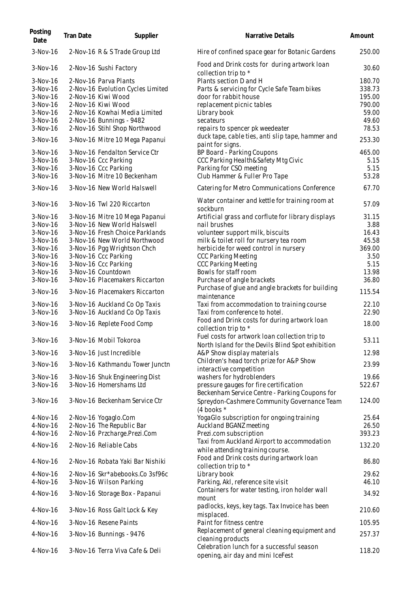| Posting<br>Date | <b>Tran Date</b> | Supplier                          | Narrative Details                                                                        | Amount |
|-----------------|------------------|-----------------------------------|------------------------------------------------------------------------------------------|--------|
| $3-Nov-16$      |                  | 2-Nov-16 R & S Trade Group Ltd    | Hire of confined space gear for Botanic Gardens                                          | 250.00 |
| $3-Nov-16$      |                  | 2-Nov-16 Sushi Factory            | Food and Drink costs for during artwork loan<br>collection trip to *                     | 30.60  |
| $3-Nov-16$      |                  | 2-Nov-16 Parva Plants             | Plants section D and H                                                                   | 180.70 |
| $3-Nov-16$      |                  | 2-Nov-16 Evolution Cycles Limited | Parts & servicing for Cycle Safe Team bikes                                              | 338.73 |
| 3-Nov-16        |                  | 2-Nov-16 Kiwi Wood                | door for rabbit house                                                                    | 195.00 |
| $3-Nov-16$      |                  | 2-Nov-16 Kiwi Wood                | replacement picnic tables                                                                | 790.00 |
| $3-Nov-16$      |                  | 2-Nov-16 Kowhai Media Limited     | Library book                                                                             | 59.00  |
| $3-Nov-16$      |                  | 2-Nov-16 Bunnings - 9482          | secateurs                                                                                | 49.60  |
| 3-Nov-16        |                  | 2-Nov-16 Stihl Shop Northwood     | repairs to spencer pk weedeater                                                          | 78.53  |
| 3-Nov-16        |                  | 3-Nov-16 Mitre 10 Mega Papanui    | duck tape, cable ties, anti slip tape, hammer and<br>paint for signs.                    | 253.30 |
| $3-Nov-16$      |                  | 3-Nov-16 Fendalton Service Ctr    | BP Board - Parking Coupons                                                               | 465.00 |
| $3-Nov-16$      |                  | 3-Nov-16 Ccc Parking              | CCC Parking Health&Safety Mtg Civic                                                      | 5.15   |
| $3-Nov-16$      |                  | 3-Nov-16 Ccc Parking              | Parking for CSO meeting                                                                  | 5.15   |
| 3-Nov-16        |                  | 3-Nov-16 Mitre 10 Beckenham       | Club Hammer & Fuller Pro Tape                                                            | 53.28  |
| $3-Nov-16$      |                  | 3-Nov-16 New World Halswell       | Catering for Metro Communications Conference                                             | 67.70  |
| $3-Nov-16$      |                  | 3-Nov-16 Twl 220 Riccarton        | Water container and kettle for training room at                                          | 57.09  |
|                 |                  |                                   | sockburn                                                                                 |        |
| $3-Nov-16$      |                  | 3-Nov-16 Mitre 10 Mega Papanui    | Artificial grass and corflute for library displays                                       | 31.15  |
| $3-Nov-16$      |                  | 3-Nov-16 New World Halswell       | nail brushes                                                                             | 3.88   |
| $3-Nov-16$      |                  | 3-Nov-16 Fresh Choice Parklands   | volunteer support milk, biscuits                                                         | 16.43  |
| $3-Nov-16$      |                  | 3-Nov-16 New World Northwood      | milk & toilet roll for nursery tea room                                                  | 45.58  |
| $3-Nov-16$      |                  | 3-Nov-16 Pgg Wrightson Chch       | herbicide for weed control in nursery                                                    | 369.00 |
| $3-Nov-16$      |                  | 3-Nov-16 Ccc Parking              | <b>CCC Parking Meeting</b>                                                               | 3.50   |
| $3-Nov-16$      |                  | 3-Nov-16 Ccc Parking              | <b>CCC Parking Meeting</b>                                                               | 5.15   |
| $3-Nov-16$      |                  | 3-Nov-16 Countdown                | Bowls for staff room                                                                     | 13.98  |
| 3-Nov-16        |                  | 3-Nov-16 Placemakers Riccarton    | Purchase of angle brackets                                                               | 36.80  |
| $3-Nov-16$      |                  | 3-Nov-16 Placemakers Riccarton    | Purchase of glue and angle brackets for building<br>maintenance                          | 115.54 |
| $3-Nov-16$      |                  | 3-Nov-16 Auckland Co Op Taxis     | Taxi from accommodation to training course                                               | 22.10  |
| $3-Nov-16$      |                  | 3-Nov-16 Auckland Co Op Taxis     | Taxi from conference to hotel.                                                           | 22.90  |
| $3-Nov-16$      |                  | 3-Nov-16 Replete Food Comp        | Food and Drink costs for during artwork loan<br>collection trip to *                     | 18.00  |
| 3-Nov-16        |                  | 3-Nov-16 Mobil Tokoroa            | Fuel costs for artwork loan collection trip to                                           | 53.11  |
|                 |                  |                                   | North Island for the Devils Blind Spot exhibition                                        |        |
| 3-Nov-16        |                  | 3-Nov-16 Just Incredible          | A&P Show display materials                                                               | 12.98  |
| 3-Nov-16        |                  | 3-Nov-16 Kathmandu Tower Junctn   | Children's head torch prize for A&P Show                                                 | 23.99  |
|                 |                  |                                   | interactive competition                                                                  |        |
| $3-Nov-16$      |                  | 3-Nov-16 Shuk Engineering Dist    | washers for hydroblenders                                                                | 19.66  |
| 3-Nov-16        |                  | 3-Nov-16 Homershams Ltd           | pressure gauges for fire certification<br>Beckenham Service Centre - Parking Coupons for | 522.67 |
| 3-Nov-16        |                  | 3-Nov-16 Beckenham Service Ctr    | Spreydon-Cashmere Community Governance Team<br>(4 books *                                | 124.00 |
| 4-Nov-16        |                  | 2-Nov-16 Yogaglo.Com              | YogaGlo subscription for ongoing training                                                | 25.64  |
| 4-Nov-16        |                  | 2-Nov-16 The Republic Bar         | Auckland BGANZ meeting                                                                   | 26.50  |
| 4-Nov-16        |                  | 2-Nov-16 Przcharge.Prezi.Com      | Prezi.com subscription                                                                   | 393.23 |
| 4-Nov-16        |                  | 2-Nov-16 Reliable Cabs            | Taxi from Auckland Airport to accommodation<br>while attending training course.          | 132.20 |
| 4-Nov-16        |                  | 2-Nov-16 Robata Yaki Bar Nishiki  | Food and Drink costs during artwork loan                                                 | 86.80  |
| $4$ -Nov-16     |                  | 2-Nov-16 Skr*abebooks.Co 3sf96c   | collection trip to *                                                                     |        |
|                 |                  |                                   | Library book                                                                             | 29.62  |
| 4-Nov-16        |                  | 3-Nov-16 Wilson Parking           | Parking, Akl, reference site visit                                                       | 46.10  |
| 4-Nov-16        |                  | 3-Nov-16 Storage Box - Papanui    | Containers for water testing, iron holder wall<br>mount                                  | 34.92  |
| 4-Nov-16        |                  | 3-Nov-16 Ross Galt Lock & Key     | padlocks, keys, key tags. Tax Invoice has been<br>misplaced.                             | 210.60 |
| $4$ -Nov-16     |                  | 3-Nov-16 Resene Paints            | Paint for fitness centre                                                                 | 105.95 |
| 4-Nov-16        |                  | 3-Nov-16 Bunnings - 9476          | Replacement of general cleaning equipment and<br>cleaning products                       | 257.37 |
| 4-Nov-16        |                  | 3-Nov-16 Terra Viva Cafe & Deli   | Celebration lunch for a successful season<br>opening, air day and mini IceFest           | 118.20 |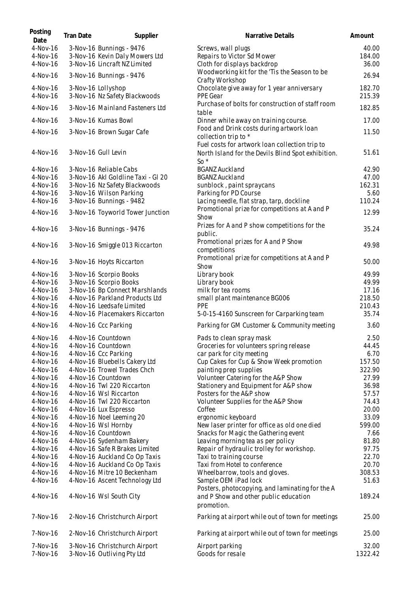| Posting<br>Date        | Tran Date | Supplier                                                         | Narrative Details                                                                                      | Amount           |
|------------------------|-----------|------------------------------------------------------------------|--------------------------------------------------------------------------------------------------------|------------------|
| $4-Nov-16$             |           | 3-Nov-16 Bunnings - 9476                                         | Screws, wall plugs                                                                                     | 40.00            |
| $4-Nov-16$             |           | 3-Nov-16 Kevin Daly Mowers Ltd                                   | Repairs to Victor Sd Mower                                                                             | 184.00           |
| 4-Nov-16               |           | 3-Nov-16 Lincraft NZ Limited                                     | Cloth for displays backdrop                                                                            | 36.00            |
| 4-Nov-16               |           | 3-Nov-16 Bunnings - 9476                                         | Woodworking kit for the 'Tis the Season to be<br>Crafty Workshop                                       | 26.94            |
| $4-Nov-16$             |           | 3-Nov-16 Lollyshop                                               | Chocolate give away for 1 year anniversary                                                             | 182.70           |
| 4-Nov-16<br>4-Nov-16   |           | 3-Nov-16 Nz Safety Blackwoods<br>3-Nov-16 Mainland Fasteners Ltd | PPE Gear<br>Purchase of bolts for construction of staff room                                           | 215.39<br>182.85 |
| $4-Nov-16$             |           | 3-Nov-16 Kumas Bowl                                              | table<br>Dinner while away on training course.                                                         | 17.00            |
|                        |           |                                                                  | Food and Drink costs during artwork loan                                                               |                  |
| $4-Nov-16$             |           | 3-Nov-16 Brown Sugar Cafe                                        | collection trip to *<br>Fuel costs for artwork loan collection trip to                                 | 11.50            |
| 4-Nov-16               |           | 3-Nov-16 Gull Levin                                              | North Island for the Devils Blind Spot exhibition.<br>So $*$                                           | 51.61            |
| 4-Nov-16               |           | 3-Nov-16 Reliable Cabs                                           | <b>BGANZ Auckland</b>                                                                                  | 42.90            |
| 4-Nov-16               |           | 3-Nov-16 Akl Goldline Taxi - Gl 20                               | <b>BGANZ Auckland</b>                                                                                  | 47.00            |
| 4-Nov-16               |           | 3-Nov-16 Nz Safety Blackwoods                                    | sunblock, paint spraycans                                                                              | 162.31           |
| 4-Nov-16               |           | 3-Nov-16 Wilson Parking                                          | Parking for PD Course                                                                                  | 5.60             |
| 4-Nov-16               |           | 3-Nov-16 Bunnings - 9482                                         | Lacing needle, flat strap, tarp, dockline                                                              | 110.24           |
| 4-Nov-16               |           | 3-Nov-16 Toyworld Tower Junction                                 | Promotional prize for competitions at A and P<br>Show                                                  | 12.99            |
| 4-Nov-16               |           | 3-Nov-16 Bunnings - 9476                                         | Prizes for A and P show competitions for the<br>public.                                                | 35.24            |
| 4-Nov-16               |           | 3-Nov-16 Smiggle 013 Riccarton                                   | Promotional prizes for A and P Show<br>competitions                                                    | 49.98            |
| $4-Nov-16$             |           | 3-Nov-16 Hoyts Riccarton                                         | Promotional prize for competitions at A and P<br>Show                                                  | 50.00            |
| $4-Nov-16$             |           | 3-Nov-16 Scorpio Books                                           | Library book                                                                                           | 49.99            |
| $4-Nov-16$             |           | 3-Nov-16 Scorpio Books                                           | Library book                                                                                           | 49.99            |
| 4-Nov-16               |           | 3-Nov-16 Bp Connect Marshlands                                   | milk for tea rooms                                                                                     | 17.16            |
| $4-Nov-16$             |           | 4-Nov-16 Parkland Products Ltd                                   | small plant maintenance BG006                                                                          | 218.50           |
| $4-Nov-16$             |           | 4-Nov-16 Leedsafe Limited                                        | PPE                                                                                                    | 210.43           |
| 4-Nov-16               |           | 4-Nov-16 Placemakers Riccarton                                   | 5-0-15-4160 Sunscreen for Carparking team                                                              | 35.74            |
| 4-Nov-16               |           | 4-Nov-16 Ccc Parking                                             | Parking for GM Customer & Community meeting                                                            | 3.60             |
| 4-Nov-16               |           | 4-Nov-16 Countdown                                               | Pads to clean spray mask                                                                               | 2.50             |
| 4-Nov-16               |           | 4-Nov-16 Countdown                                               | Groceries for volunteers spring release                                                                | 44.45            |
| 4-Nov-16               |           | 4-Nov-16 Ccc Parking                                             | car park for city meeting                                                                              | 6.70             |
| 4-Nov-16               |           | 4-Nov-16 Bluebells Cakery Ltd                                    | Cup Cakes for Cup & Show Week promotion                                                                | 157.50           |
| 4-Nov-16               |           | 4-Nov-16 Trowel Trades Chch                                      | painting prep supplies                                                                                 | 322.90           |
| $4-Nov-16$             |           | 4-Nov-16 Countdown                                               | Volunteer Catering for the A&P Show                                                                    | 27.99            |
| 4-Nov-16               |           | 4-Nov-16 Twl 220 Riccarton                                       | Stationery and Equipment for A&P show                                                                  | 36.98            |
| 4-Nov-16               |           | 4-Nov-16 Wsl Riccarton                                           | Posters for the A&P show                                                                               | 57.57            |
| 4-Nov-16               |           | 4-Nov-16 Twl 220 Riccarton                                       | Volunteer Supplies for the A&P Show                                                                    | 74.43            |
| 4-Nov-16               |           | 4-Nov-16 Lux Espresso                                            | Coffee                                                                                                 | 20.00            |
| 4-Nov-16               |           | 4-Nov-16 Noel Leeming 20                                         | ergonomic keyboard                                                                                     | 33.09            |
| 4-Nov-16               |           | 4-Nov-16 Wsl Hornby                                              | New laser printer for office as old one died                                                           | 599.00           |
| 4-Nov-16               |           | 4-Nov-16 Countdown                                               | Snacks for Magic the Gathering event                                                                   | 7.66             |
| $4-Nov-16$             |           | 4-Nov-16 Sydenham Bakery                                         | Leaving morning tea as per policy                                                                      | 81.80            |
| 4-Nov-16               |           | 4-Nov-16 Safe R Brakes Limited                                   | Repair of hydraulic trolley for workshop.                                                              | 97.75            |
| 4-Nov-16               |           | 4-Nov-16 Auckland Co Op Taxis                                    | Taxi to training course                                                                                | 22.70            |
| 4-Nov-16               |           | 4-Nov-16 Auckland Co Op Taxis                                    | Taxi from Hotel to conference                                                                          | 20.70<br>308.53  |
| $4-Nov-16$<br>4-Nov-16 |           | 4-Nov-16 Mitre 10 Beckenham<br>4-Nov-16 Ascent Technology Ltd    | Wheelbarrow, tools and gloves.<br>Sample OEM iPad lock                                                 | 51.63            |
| 4-Nov-16               |           | 4-Nov-16 Wsl South City                                          | Posters, photocopying, and laminating for the A<br>and P Show and other public education<br>promotion. | 189.24           |
| 7-Nov-16               |           | 2-Nov-16 Christchurch Airport                                    | Parking at airport while out of town for meetings                                                      | 25.00            |
| 7-Nov-16               |           | 2-Nov-16 Christchurch Airport                                    | Parking at airport while out of town for meetings                                                      | 25.00            |
| 7-Nov-16<br>7-Nov-16   |           | 3-Nov-16 Christchurch Airport<br>3-Nov-16 Outliving Pty Ltd      | Airport parking<br>Goods for resale                                                                    | 32.00<br>1322.42 |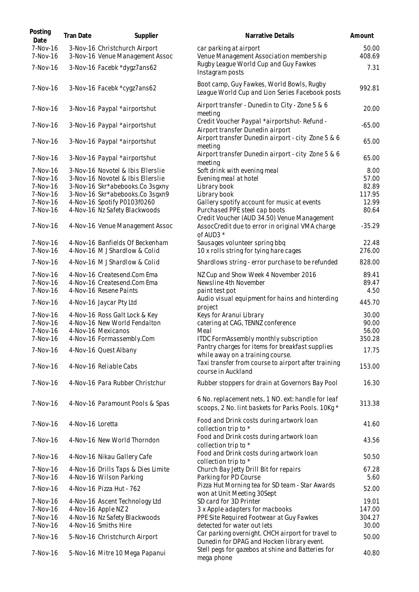| Posting<br>Date      | <b>Tran Date</b> | Supplier                                                         | Narrative Details                                                                                        | Amount          |
|----------------------|------------------|------------------------------------------------------------------|----------------------------------------------------------------------------------------------------------|-----------------|
| 7-Nov-16<br>7-Nov-16 |                  | 3-Nov-16 Christchurch Airport<br>3-Nov-16 Venue Management Assoc | car parking at airport<br>Venue Management Association membership                                        | 50.00<br>408.69 |
| 7-Nov-16             |                  | 3-Nov-16 Facebk *dygz7ans62                                      | Rugby League World Cup and Guy Fawkes<br>Instagram posts                                                 | 7.31            |
| 7-Nov-16             |                  | 3-Nov-16 Facebk *cygz7ans62                                      | Boot camp, Guy Fawkes, World Bowls, Rugby<br>League World Cup and Lion Series Facebook posts             | 992.81          |
| 7-Nov-16             |                  | 3-Nov-16 Paypal *airportshut                                     | Airport transfer - Dunedin to City - Zone 5 & 6<br>meeting                                               | 20.00           |
| 7-Nov-16             |                  | 3-Nov-16 Paypal *airportshut                                     | Credit Voucher Paypal *airportshut-Refund -<br>Airport transfer Dunedin airport                          | $-65.00$        |
| 7-Nov-16             |                  | 3-Nov-16 Paypal *airportshut                                     | Airport transfer Dunedin airport - city Zone 5 & 6<br>meeting                                            | 65.00           |
| 7-Nov-16             |                  | 3-Nov-16 Paypal *airportshut                                     | Airport transfer Dunedin airport - city Zone 5 & 6<br>meeting                                            | 65.00           |
| 7-Nov-16             |                  | 3-Nov-16 Novotel & Ibis Ellerslie                                | Soft drink with evening meal                                                                             | 8.00            |
| 7-Nov-16             |                  | 3-Nov-16 Novotel & Ibis Ellerslie                                | Evening meal at hotel                                                                                    | 57.00           |
| 7-Nov-16             |                  | 3-Nov-16 Skr*abebooks.Co 3sgxny                                  | Library book                                                                                             | 82.89           |
| 7-Nov-16             |                  | 3-Nov-16 Skr*abebooks.Co 3sgxn9                                  | Library book                                                                                             | 117.95          |
| 7-Nov-16             |                  | 4-Nov-16 Spotify P0103f0260                                      | Gallery spotify account for music at events                                                              | 12.99           |
| 7-Nov-16             |                  | 4-Nov-16 Nz Safety Blackwoods                                    | Purchased PPE steel cap boots<br>Credit Voucher (AUD 34.50) Venue Management                             | 80.64           |
| 7-Nov-16             |                  | 4-Nov-16 Venue Management Assoc                                  | AssocCredit due to error in original VMA charge<br>of AUD3 *                                             | $-35.29$        |
| 7-Nov-16             |                  | 4-Nov-16 Banfields Of Beckenham                                  | Sausages volunteer spring bbq                                                                            | 22.48           |
| 7-Nov-16             |                  | 4-Nov-16 M J Shardlow & Colid                                    | 10 x rolls string for tying hare cages                                                                   | 276.00          |
| 7-Nov-16             |                  | 4-Nov-16 M J Shardlow & Colid                                    | Shardlows string - error purchase to be refunded                                                         | 828.00          |
| 7-Nov-16             |                  | 4-Nov-16 Createsend.Com Ema                                      | NZ Cup and Show Week 4 November 2016                                                                     | 89.41           |
| 7-Nov-16             |                  | 4-Nov-16 Createsend.Com Ema                                      | Newsline 4th November                                                                                    | 89.47           |
| 7-Nov-16             |                  | 4-Nov-16 Resene Paints                                           | paint test pot                                                                                           | 4.50            |
| 7-Nov-16             |                  | 4-Nov-16 Jaycar Pty Ltd                                          | Audio visual equipment for hains and hinterding<br>project                                               | 445.70          |
| 7-Nov-16             |                  | 4-Nov-16 Ross Galt Lock & Key                                    | Keys for Aranui Library                                                                                  | 30.00           |
| 7-Nov-16             |                  | 4-Nov-16 New World Fendalton                                     | catering at CAG, TENNZ conference                                                                        | 90.00           |
| 7-Nov-16             |                  | 4-Nov-16 Mexicanos                                               | Meal                                                                                                     | 56.00           |
| 7-Nov-16             |                  | 4-Nov-16 Formassembly.Com                                        | ITDC FormAssembly monthly subscription                                                                   | 350.28          |
|                      |                  |                                                                  | Pantry charges for items for breakfast supplies                                                          |                 |
| 7-Nov-16             |                  | 4-Nov-16 Quest Albany                                            | while away on a training course.                                                                         | 17.75           |
| 7-Nov-16             |                  | 4-Nov-16 Reliable Cabs                                           | Taxi transfer from course to airport after training<br>course in Auckland                                | 153.00          |
| 7-Nov-16             |                  | 4-Nov-16 Para Rubber Christchur                                  | Rubber stoppers for drain at Governors Bay Pool                                                          | 16.30           |
| 7-Nov-16             |                  | 4-Nov-16 Paramount Pools & Spas                                  | 6 No. replacement nets, 1 NO. ext: handle for leaf<br>scoops, 2 No. lint baskets for Parks Pools. 10Kg * | 313.38          |
| 7-Nov-16             | 4-Nov-16 Loretta |                                                                  | Food and Drink costs during artwork loan<br>collection trip to *                                         | 41.60           |
| 7-Nov-16             |                  | 4-Nov-16 New World Thorndon                                      | Food and Drink costs during artwork loan<br>collection trip to *                                         | 43.56           |
| 7-Nov-16             |                  | 4-Nov-16 Nikau Gallery Cafe                                      | Food and Drink costs during artwork loan<br>collection trip to *                                         | 50.50           |
| 7-Nov-16             |                  | 4-Nov-16 Drills Taps & Dies Limite                               | Church Bay Jetty Drill Bit for repairs                                                                   | 67.28           |
| 7-Nov-16             |                  | 4-Nov-16 Wilson Parking                                          | Parking for PD Course                                                                                    | 5.60            |
| 7-Nov-16             |                  | 4-Nov-16 Pizza Hut - 762                                         | Pizza Hut Morning tea for SD team - Star Awards<br>won at Unit Meeting 30Sept                            | 52.00           |
| 7-Nov-16             |                  | 4-Nov-16 Ascent Technology Ltd                                   | SD card for 3D Printer                                                                                   | 19.01           |
| 7-Nov-16             |                  | 4-Nov-16 Apple NZ 2                                              | 3 x Apple adapters for macbooks                                                                          | 147.00          |
| 7-Nov-16             |                  | 4-Nov-16 Nz Safety Blackwoods                                    | PPE Site Required Footwear at Guy Fawkes                                                                 | 304.27          |
| 7-Nov-16             |                  | 4-Nov-16 Smiths Hire                                             | detected for water out lets                                                                              | 30.00           |
| 7-Nov-16             |                  | 5-Nov-16 Christchurch Airport                                    | Car parking overnight. CHCH airport for travel to<br>Dunedin for DPAG and Hocken library event.          | 50.00           |
| 7-Nov-16             |                  | 5-Nov-16 Mitre 10 Mega Papanui                                   | Stell pegs for gazebos at shine and Batteries for<br>mega phone                                          | 40.80           |
|                      |                  |                                                                  |                                                                                                          |                 |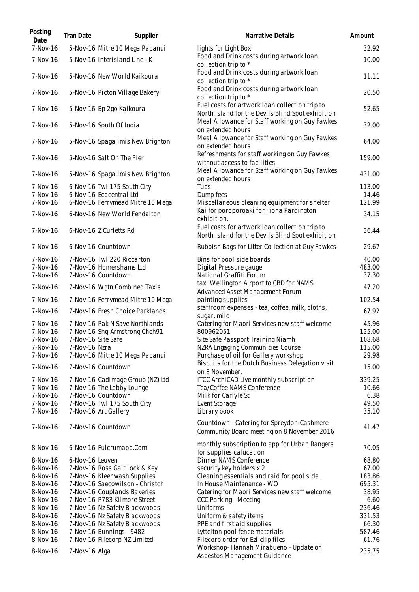| Posting<br>Date | <b>Tran Date</b> | Supplier                         | Narrative Details                                                                                   | Amount |
|-----------------|------------------|----------------------------------|-----------------------------------------------------------------------------------------------------|--------|
| 7-Nov-16        |                  | 5-Nov-16 Mitre 10 Mega Papanui   | lights for Light Box                                                                                | 32.92  |
| 7-Nov-16        |                  | 5-Nov-16 Interisland Line - K    | Food and Drink costs during artwork loan<br>collection trip to *                                    | 10.00  |
| 7-Nov-16        |                  | 5-Nov-16 New World Kaikoura      | Food and Drink costs during artwork loan<br>collection trip to *                                    | 11.11  |
| 7-Nov-16        |                  | 5-Nov-16 Picton Village Bakery   | Food and Drink costs during artwork loan<br>collection trip to *                                    | 20.50  |
| 7-Nov-16        |                  | 5-Nov-16 Bp 2go Kaikoura         | Fuel costs for artwork loan collection trip to<br>North Island for the Devils Blind Spot exhibition | 52.65  |
| 7-Nov-16        |                  | 5-Nov-16 South Of India          | Meal Allowance for Staff working on Guy Fawkes<br>on extended hours                                 | 32.00  |
| 7-Nov-16        |                  | 5-Nov-16 Spagalimis New Brighton | Meal Allowance for Staff working on Guy Fawkes<br>on extended hours                                 | 64.00  |
| 7-Nov-16        |                  | 5-Nov-16 Salt On The Pier        | Refreshments for staff working on Guy Fawkes<br>without access to facilities                        | 159.00 |
| 7-Nov-16        |                  | 5-Nov-16 Spagalimis New Brighton | Meal Allowance for Staff working on Guy Fawkes<br>on extended hours                                 | 431.00 |
| 7-Nov-16        |                  | 6-Nov-16 Twl 175 South City      | Tubs                                                                                                | 113.00 |
| 7-Nov-16        |                  | 6-Nov-16 Ecocentral Ltd          | Dump fees                                                                                           | 14.46  |
| 7-Nov-16        |                  | 6-Nov-16 Ferrymead Mitre 10 Mega | Miscellaneous cleaning equipment for shelter                                                        | 121.99 |
| 7-Nov-16        |                  | 6-Nov-16 New World Fendalton     | Kai for poroporoaki for Fiona Pardington<br>exhibition.                                             | 34.15  |
| 7-Nov-16        |                  | 6-Nov-16 Z Curletts Rd           | Fuel costs for artwork loan collection trip to<br>North Island for the Devils Blind Spot exhibition | 36.44  |
| 7-Nov-16        |                  | 6-Nov-16 Countdown               | Rubbish Bags for Litter Collection at Guy Fawkes                                                    | 29.67  |
| 7-Nov-16        |                  | 7-Nov-16 Twl 220 Riccarton       | Bins for pool side boards                                                                           | 40.00  |
| 7-Nov-16        |                  | 7-Nov-16 Homershams Ltd          | Digital Pressure gauge                                                                              | 483.00 |
| 7-Nov-16        |                  | 7-Nov-16 Countdown               | National Graffiti Forum                                                                             | 37.30  |
| 7-Nov-16        |                  | 7-Nov-16 Wgtn Combined Taxis     | taxi Wellington Airport to CBD for NAMS<br>Advanced Asset Management Forum                          | 47.20  |
| 7-Nov-16        |                  | 7-Nov-16 Ferrymead Mitre 10 Mega | painting supplies                                                                                   | 102.54 |
| 7-Nov-16        |                  | 7-Nov-16 Fresh Choice Parklands  | staffroom expenses - tea, coffee, milk, cloths,<br>sugar, milo                                      | 67.92  |
| 7-Nov-16        |                  | 7-Nov-16 Pak N Save Northlands   | Catering for Maori Services new staff welcome                                                       | 45.96  |
| 7-Nov-16        |                  | 7-Nov-16 Shq Armstrong Chch91    | 800962051                                                                                           | 125.00 |
| 7-Nov-16        |                  | 7-Nov-16 Site Safe               | Site Safe Passport Training Niamh                                                                   | 108.68 |
| 7-Nov-16        | 7-Nov-16 Nzra    |                                  | NZRA Engaging Communities Course                                                                    | 115.00 |
| 7-Nov-16        |                  | 7-Nov-16 Mitre 10 Mega Papanui   | Purchase of oil for Gallery workshop                                                                | 29.98  |
| 7-Nov-16        |                  | 7-Nov-16 Countdown               | Biscuits for the Dutch Business Delegation visit<br>on 8 November.                                  | 15.00  |
| 7-Nov-16        |                  | 7-Nov-16 Cadimage Group (NZ) Ltd | ITCC ArchiCAD Live monthly subscription                                                             | 339.25 |
| 7-Nov-16        |                  | 7-Nov-16 The Lobby Lounge        | Tea/Coffee NAMS Conference                                                                          | 10.66  |
| 7-Nov-16        |                  | 7-Nov-16 Countdown               | Milk for Carlyle St                                                                                 | 6.38   |
| 7-Nov-16        |                  | 7-Nov-16 Twl 175 South City      | Event Storage                                                                                       | 49.50  |
| 7-Nov-16        |                  | 7-Nov-16 Art Gallery             | Library book                                                                                        | 35.10  |
| 7-Nov-16        |                  | 7-Nov-16 Countdown               | Countdown - Catering for Spreydon-Cashmere<br>Community Board meeting on 8 November 2016            | 41.47  |
| 8-Nov-16        |                  | 6-Nov-16 Fulcrumapp.Com          | monthly subscription to app for Urban Rangers<br>for supplies calucation                            | 70.05  |
| 8-Nov-16        | 6-Nov-16 Leuven  |                                  | Dinner NAMS Conference                                                                              | 68.80  |
| 8-Nov-16        |                  | 7-Nov-16 Ross Galt Lock & Key    | security key holders x 2                                                                            | 67.00  |
| 8-Nov-16        |                  | 7-Nov-16 Kleenwash Supplies      | Cleaning essentials and raid for pool side.                                                         | 183.86 |
| 8-Nov-16        |                  | 7-Nov-16 Saecowilson - Christch  | In House Maintenance - WO                                                                           | 695.31 |
| 8-Nov-16        |                  | 7-Nov-16 Couplands Bakeries      | Catering for Maori Services new staff welcome                                                       | 38.95  |
| 8-Nov-16        |                  | 7-Nov-16 P783 Kilmore Street     | CCC Parking - Meeting                                                                               | 6.60   |
| 8-Nov-16        |                  | 7-Nov-16 Nz Safety Blackwoods    | Uniforms                                                                                            | 236.46 |
| 8-Nov-16        |                  | 7-Nov-16 Nz Safety Blackwoods    | Uniform & safety items                                                                              | 331.53 |
| 8-Nov-16        |                  | 7-Nov-16 Nz Safety Blackwoods    | PPE and first aid supplies                                                                          | 66.30  |
| 8-Nov-16        |                  | 7-Nov-16 Bunnings - 9482         | Lyttelton pool fence materials                                                                      | 587.46 |
| 8-Nov-16        |                  | 7-Nov-16 Filecorp NZ Limited     | Filecorp order for Ezi-clip files                                                                   | 61.76  |
| 8-Nov-16        | 7-Nov-16 Alga    |                                  | Workshop-Hannah Mirabueno - Update on<br>Asbestos Management Guidance                               | 235.75 |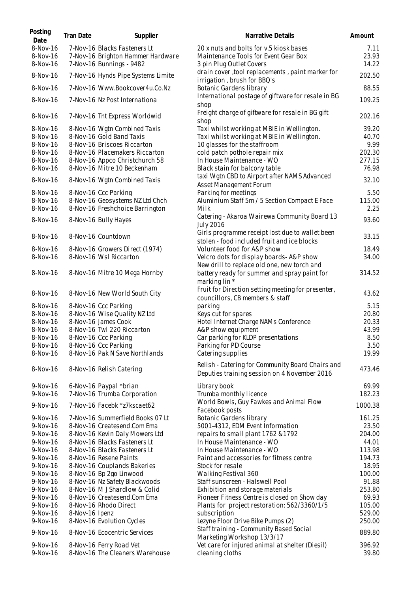| Posting<br>Date | <b>Tran Date</b> | Supplier                           | Narrative Details                                                                              | Amount          |
|-----------------|------------------|------------------------------------|------------------------------------------------------------------------------------------------|-----------------|
| 8-Nov-16        |                  | 7-Nov-16 Blacks Fasteners Lt       | 20 x nuts and bolts for v.5 kiosk bases                                                        | 7.11            |
| 8-Nov-16        |                  | 7-Nov-16 Brighton Hammer Hardware  | Maintenance Tools for Event Gear Box                                                           | 23.93           |
| 8-Nov-16        |                  | 7-Nov-16 Bunnings - 9482           | 3 pin Plug Outlet Covers                                                                       | 14.22           |
| 8-Nov-16        |                  | 7-Nov-16 Hynds Pipe Systems Limite | drain cover, tool replacements, paint marker for<br>irrigation, brush for BBQ's                | 202.50          |
| 8-Nov-16        |                  | 7-Nov-16 Www.Bookcover4u.Co.Nz     | Botanic Gardens library                                                                        | 88.55           |
|                 |                  |                                    | International postage of giftware for resale in BG                                             |                 |
| 8-Nov-16        |                  | 7-Nov-16 Nz Post Internationa      | shop<br>Freight charge of giftware for resale in BG gift                                       | 109.25          |
| 8-Nov-16        |                  | 7-Nov-16 Tnt Express Worldwid      | shop                                                                                           | 202.16<br>39.20 |
| 8-Nov-16        |                  | 8-Nov-16 Wgtn Combined Taxis       | Taxi whilst working at MBIE in Wellington.                                                     |                 |
| 8-Nov-16        |                  | 8-Nov-16 Gold Band Taxis           | Taxi whilst working at MBIE in Wellington.                                                     | 40.70           |
| 8-Nov-16        |                  | 8-Nov-16 Briscoes Riccarton        | 10 glasses for the staffroom                                                                   | 9.99            |
| 8-Nov-16        |                  | 8-Nov-16 Placemakers Riccarton     | cold patch pothole repair mix                                                                  | 202.30          |
| 8-Nov-16        |                  | 8-Nov-16 Appco Christchurch 58     | In House Maintenance - WO                                                                      | 277.15          |
| 8-Nov-16        |                  | 8-Nov-16 Mitre 10 Beckenham        | Black stain for balcony table                                                                  | 76.98           |
| 8-Nov-16        |                  | 8-Nov-16 Wgtn Combined Taxis       | taxi Wgtn CBD to Airport after NAMS Advanced<br>Asset Management Forum                         | 32.10           |
| 8-Nov-16        |                  | 8-Nov-16 Ccc Parking               | Parking for meetings                                                                           | 5.50            |
| 8-Nov-16        |                  | 8-Nov-16 Geosystems NZ Ltd Chch    | Aluminium Staff 5m / 5 Section Compact E Face                                                  | 115.00          |
| 8-Nov-16        |                  | 8-Nov-16 Freshchoice Barrington    | Milk                                                                                           | 2.25            |
| 8-Nov-16        |                  | 8-Nov-16 Bully Hayes               | Catering - Akaroa Wairewa Community Board 13<br><b>July 2016</b>                               | 93.60           |
| 8-Nov-16        |                  | 8-Nov-16 Countdown                 | Girls programme receipt lost due to wallet been<br>stolen - food included fruit and ice blocks | 33.15           |
| 8-Nov-16        |                  | 8-Nov-16 Growers Direct (1974)     | Volunteer food for A&P show                                                                    | 18.49           |
| 8-Nov-16        |                  | 8-Nov-16 Wsl Riccarton             | Velcro dots for display boards-A&P show                                                        | 34.00           |
|                 |                  |                                    | New drill to replace old one, new torch and                                                    |                 |
| 8-Nov-16        |                  | 8-Nov-16 Mitre 10 Mega Hornby      | battery ready for summer and spray paint for<br>marking lin *                                  | 314.52          |
| 8-Nov-16        |                  | 8-Nov-16 New World South City      | Fruit for Direction setting meeting for presenter,<br>councillors, CB members & staff          | 43.62           |
| 8-Nov-16        |                  | 8-Nov-16 Ccc Parking               | parking                                                                                        | 5.15            |
| 8-Nov-16        |                  | 8-Nov-16 Wise Quality NZ Ltd       | Keys cut for spares                                                                            | 20.80           |
| 8-Nov-16        |                  | 8-Nov-16 James Cook                | Hotel Internet Charge NAMs Conference                                                          | 20.33           |
| 8-Nov-16        |                  | 8-Nov-16 Twl 220 Riccarton         | A&P show equipment                                                                             | 43.99           |
| 8-Nov-16        |                  | 8-Nov-16 Ccc Parking               | Car parking for KLDP presentations                                                             | 8.50            |
| 8-Nov-16        |                  | 8-Nov-16 Ccc Parking               | Parking for PD Course                                                                          | 3.50            |
| 8-Nov-16        |                  | 8-Nov-16 Pak N Save Northlands     | Catering supplies                                                                              | 19.99           |
| 8-Nov-16        |                  | 8-Nov-16 Relish Catering           | Relish - Catering for Community Board Chairs and                                               | 473.46          |
|                 |                  |                                    | Deputies training session on 4 November 2016                                                   |                 |
| 9-Nov-16        |                  | 6-Nov-16 Paypal *brian             | Library book                                                                                   | 69.99           |
| 9-Nov-16        |                  | 7-Nov-16 Trumba Corporation        | Trumba monthly licence                                                                         | 182.23          |
| 9-Nov-16        |                  | 7-Nov-16 Facebk *z7kscaet62        | World Bowls, Guy Fawkes and Animal Flow<br>Facebook posts                                      | 1000.38         |
| 9-Nov-16        |                  | 7-Nov-16 Summerfield Books 07 Lt   | <b>Botanic Gardens library</b>                                                                 | 161.25          |
| 9-Nov-16        |                  | 8-Nov-16 Createsend.Com Ema        | 5001-4312, EDM Event Information                                                               | 23.50           |
| 9-Nov-16        |                  | 8-Nov-16 Kevin Daly Mowers Ltd     | repairs to small plant 1762 & 1792                                                             | 204.00          |
| 9-Nov-16        |                  | 8-Nov-16 Blacks Fasteners Lt       | In House Maintenance - WO                                                                      | 44.01           |
| 9-Nov-16        |                  | 8-Nov-16 Blacks Fasteners Lt       | In House Maintenance - WO                                                                      | 113.98          |
|                 |                  |                                    |                                                                                                | 194.73          |
| $9-Nov-16$      |                  | 8-Nov-16 Resene Paints             | Paint and accessories for fitness centre                                                       |                 |
| 9-Nov-16        |                  | 8-Nov-16 Couplands Bakeries        | Stock for resale                                                                               | 18.95           |
| 9-Nov-16        |                  | 8-Nov-16 Bp 2go Linwood            | Walking Festival 360                                                                           | 100.00          |
| 9-Nov-16        |                  | 8-Nov-16 Nz Safety Blackwoods      | Staff sunscreen - Halswell Pool                                                                | 91.88           |
| $9-Nov-16$      |                  | 8-Nov-16 M J Shardlow & Colid      | Exhibition and storage materials                                                               | 253.80          |
| $9-Nov-16$      |                  | 8-Nov-16 Createsend.Com Ema        | Pioneer Fitness Centre is closed on Show day                                                   | 69.93           |
| $9-Nov-16$      |                  | 8-Nov-16 Rhodo Direct              | Plants for project restoration: 562/3360/1/5                                                   | 105.00          |
| 9-Nov-16        | 8-Nov-16 Ipenz   |                                    | subscription                                                                                   | 529.00          |
| 9-Nov-16        |                  | 8-Nov-16 Evolution Cycles          | Lezyne Floor Drive Bike Pumps (2)                                                              | 250.00          |
| 9-Nov-16        |                  | 8-Nov-16 Ecocentric Services       | Staff training - Community Based Social<br>Marketing Workshop 13/3/17                          | 889.80          |
| 9-Nov-16        |                  | 8-Nov-16 Ferry Road Vet            | Vet care for injured animal at shelter (Diesil)                                                | 396.92          |
| 9-Nov-16        |                  | 8-Nov-16 The Cleaners Warehouse    | cleaning cloths                                                                                | 39.80           |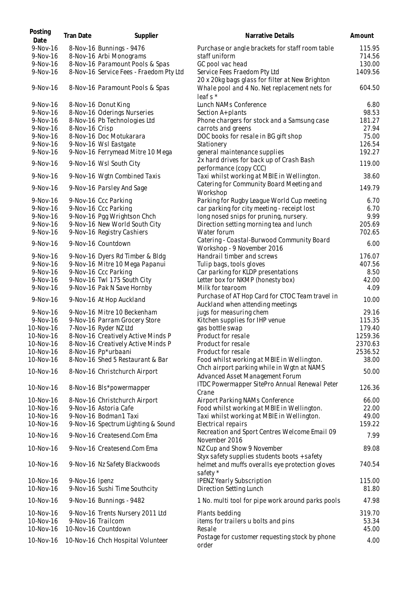| Posting<br>Date        | <b>Tran Date</b> | Supplier                                                          | Narrative Details                                                                               | Amount         |
|------------------------|------------------|-------------------------------------------------------------------|-------------------------------------------------------------------------------------------------|----------------|
| 9-Nov-16               |                  | 8-Nov-16 Bunnings - 9476                                          | Purchase or angle brackets for staff room table                                                 | 115.95         |
| 9-Nov-16               |                  | 8-Nov-16 Arbi Monograms                                           | staff uniform                                                                                   | 714.56         |
| 9-Nov-16               |                  | 8-Nov-16 Paramount Pools & Spas                                   | GC pool vac head                                                                                | 130.00         |
| 9-Nov-16               |                  | 8-Nov-16 Service Fees - Fraedom Pty Ltd                           | Service Fees Fraedom Pty Ltd<br>20 x 20kg bags glass for filter at New Brighton                 | 1409.56        |
| 9-Nov-16               |                  | 8-Nov-16 Paramount Pools & Spas                                   | Whale pool and 4 No. Net replacement nets for<br>leafs *                                        | 604.50         |
| 9-Nov-16               |                  | 8-Nov-16 Donut King                                               | Lunch NAMs Conference                                                                           | 6.80           |
| 9-Nov-16               |                  | 8-Nov-16 Oderings Nurseries                                       | Section A+ plants                                                                               | 98.53          |
| 9-Nov-16               |                  | 8-Nov-16 Pb Technologies Ltd                                      | Phone chargers for stock and a Samsung case                                                     | 181.27         |
| $9-Nov-16$             | 8-Nov-16 Crisp   |                                                                   | carrots and greens                                                                              | 27.94          |
| 9-Nov-16               |                  | 8-Nov-16 Doc Motukarara                                           | DOC books for resale in BG gift shop                                                            | 75.00          |
| 9-Nov-16               |                  | 9-Nov-16 Wsl Eastgate                                             | Stationery                                                                                      | 126.54         |
| 9-Nov-16               |                  | 9-Nov-16 Ferrymead Mitre 10 Mega                                  | general maintenance supplies                                                                    | 192.27         |
| 9-Nov-16               |                  | 9-Nov-16 Wsl South City                                           | 2x hard drives for back up of Crash Bash<br>performance (copy CCC)                              | 119.00         |
| $9-Nov-16$             |                  | 9-Nov-16 Wgtn Combined Taxis                                      | Taxi whilst working at MBIE in Wellington.                                                      | 38.60          |
| 9-Nov-16               |                  | 9-Nov-16 Parsley And Sage                                         | Catering for Community Board Meeting and<br>Workshop                                            | 149.79         |
| $9-Nov-16$             |                  | 9-Nov-16 Ccc Parking                                              | Parking for Rugby League World Cup meeting                                                      | 6.70           |
| $9-Nov-16$             |                  | 9-Nov-16 Ccc Parking                                              | car parking for city meeting - receipt lost                                                     | 6.70           |
| 9-Nov-16               |                  | 9-Nov-16 Pgg Wrightson Chch                                       | long nosed snips for pruning, nursery.                                                          | 9.99           |
| 9-Nov-16               |                  | 9-Nov-16 New World South City                                     | Direction setting morning tea and lunch                                                         | 205.69         |
| 9-Nov-16               |                  | 9-Nov-16 Registry Cashiers                                        | Water forum                                                                                     | 702.65         |
| 9-Nov-16               |                  | 9-Nov-16 Countdown                                                | Catering - Coastal-Burwood Community Board<br>Workshop - 9 November 2016                        | 6.00           |
| 9-Nov-16               |                  | 9-Nov-16 Dyers Rd Timber & Bldg                                   | Handrail timber and screws                                                                      | 176.07         |
| 9-Nov-16               |                  | 9-Nov-16 Mitre 10 Mega Papanui                                    | Tulip bags, tools gloves                                                                        | 407.56         |
| 9-Nov-16               |                  | 9-Nov-16 Ccc Parking                                              | Car parking for KLDP presentations                                                              | 8.50           |
| 9-Nov-16               |                  | 9-Nov-16 Twl 175 South City                                       | Letter box for NKMP (honesty box)                                                               | 42.00          |
| 9-Nov-16               |                  | 9-Nov-16 Pak N Save Hornby                                        | Milk for tearoom                                                                                | 4.09           |
| 9-Nov-16               |                  | 9-Nov-16 At Hop Auckland                                          | Purchase of AT Hop Card for CTOC Team travel in<br>Auckland when attending meetings             | 10.00          |
| 9-Nov-16               |                  | 9-Nov-16 Mitre 10 Beckenham                                       | jugs for measuring chem                                                                         | 29.16          |
| 9-Nov-16               |                  | 9-Nov-16 Parram Grocery Store                                     | Kitchen supplies for IHP venue                                                                  | 115.35         |
| 10-Nov-16              |                  | 7-Nov-16 Ryder NZ Ltd                                             | gas bottle swap                                                                                 | 179.40         |
| 10-Nov-16              |                  | 8-Nov-16 Creatively Active Minds P                                | Product for resale                                                                              | 1259.36        |
| 10-Nov-16              |                  | 8-Nov-16 Creatively Active Minds P                                | Product for resale                                                                              | 2370.63        |
| 10-Nov-16              |                  | 8-Nov-16 Pp*urbaani                                               | Product for resale                                                                              | 2536.52        |
| 10-Nov-16              |                  | 8-Nov-16 Shed 5 Restaurant & Bar                                  | Food whilst working at MBIE in Wellington.<br>Chch airport parking while in Wgtn at NAMS        | 38.00          |
| 10-Nov-16              |                  | 8-Nov-16 Christchurch Airport                                     | Advanced Asset Management Forum                                                                 | 50.00          |
| 10-Nov-16              |                  | 8-Nov-16 Bls*powermapper                                          | ITDC Powermapper SitePro Annual Renewal Peter<br>Crane                                          | 126.36         |
| 10-Nov-16              |                  | 8-Nov-16 Christchurch Airport                                     | Airport Parking NAMs Conference                                                                 | 66.00          |
| 10-Nov-16              |                  | 9-Nov-16 Astoria Cafe                                             | Food whilst working at MBIE in Wellington.                                                      | 22.00          |
| 10-Nov-16              |                  | 9-Nov-16 Bodman1 Taxi                                             | Taxi whilst working at MBIE in Wellington.                                                      | 49.00          |
| 10-Nov-16<br>10-Nov-16 |                  | 9-Nov-16 Spectrum Lighting & Sound<br>9-Nov-16 Createsend.Com Ema | Electrical repairs<br>Recreation and Sport Centres Welcome Email 09                             | 159.22<br>7.99 |
| 10-Nov-16              |                  | 9-Nov-16 Createsend.Com Ema                                       | November 2016<br>NZ Cup and Show 9 November                                                     | 89.08          |
| 10-Nov-16              |                  | 9-Nov-16 Nz Safety Blackwoods                                     | Styx safety supplies students boots + safety<br>helmet and muffs overalls eye protection gloves | 740.54         |
| 10-Nov-16              | 9-Nov-16 Ipenz   |                                                                   | safety *<br>IPENZ Yearly Subscription                                                           | 115.00         |
| 10-Nov-16              |                  | 9-Nov-16 Sushi Time Southcity                                     | Direction Setting Lunch                                                                         | 81.80          |
| 10-Nov-16              |                  | 9-Nov-16 Bunnings - 9482                                          | 1 No. multi tool for pipe work around parks pools                                               | 47.98          |
| 10-Nov-16              |                  | 9-Nov-16 Trents Nursery 2011 Ltd                                  | Plants bedding                                                                                  | 319.70         |
| 10-Nov-16              |                  | 9-Nov-16 Trailcom                                                 | items for trailers u bolts and pins                                                             | 53.34          |
| 10-Nov-16              |                  | 10-Nov-16 Countdown                                               | Resale                                                                                          | 45.00          |
| 10-Nov-16              |                  | 10-Nov-16 Chch Hospital Volunteer                                 | Postage for customer requesting stock by phone<br>order                                         | 4.00           |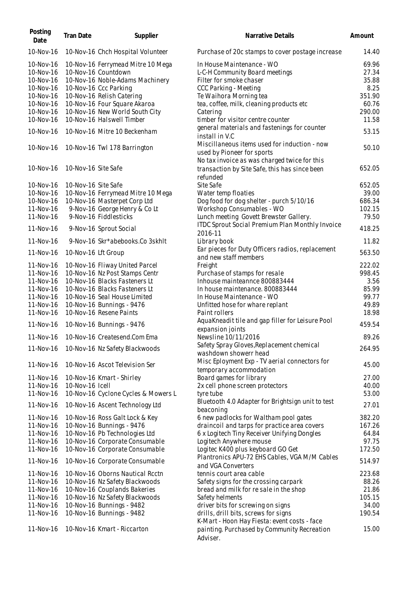| Posting<br>Date        | <b>Tran Date</b>    | Supplier                                                  | Narrative Details                                                         | Amount |
|------------------------|---------------------|-----------------------------------------------------------|---------------------------------------------------------------------------|--------|
| 10-Nov-16              |                     | 10-Nov-16 Chch Hospital Volunteer                         | Purchase of 20c stamps to cover postage increase                          | 14.40  |
| 10-Nov-16              |                     | 10-Nov-16 Ferrymead Mitre 10 Mega                         | In House Maintenance - WO                                                 | 69.96  |
| 10-Nov-16              |                     | 10-Nov-16 Countdown                                       | L-C-H Community Board meetings                                            | 27.34  |
| 10-Nov-16              |                     | 10-Nov-16 Noble-Adams Machinery                           | Filter for smoke chaser                                                   | 35.88  |
| 10-Nov-16              |                     | 10-Nov-16 Ccc Parking                                     | CCC Parking - Meeting                                                     | 8.25   |
| 10-Nov-16              |                     | 10-Nov-16 Relish Catering                                 | Te Waihora Morning tea                                                    | 351.90 |
| 10-Nov-16              |                     | 10-Nov-16 Four Square Akaroa                              | tea, coffee, milk, cleaning products etc                                  | 60.76  |
| 10-Nov-16              |                     | 10-Nov-16 New World South City                            | Catering                                                                  | 290.00 |
| 10-Nov-16              |                     | 10-Nov-16 Halswell Timber                                 | timber for visitor centre counter                                         | 11.58  |
| 10-Nov-16              |                     | 10-Nov-16 Mitre 10 Beckenham                              | general materials and fastenings for counter                              | 53.15  |
|                        |                     |                                                           | install in V.C<br>Miscillaneous items used for induction - now            |        |
| 10-Nov-16              |                     | 10-Nov-16 Twl 178 Barrington                              | used by Pioneer for sports                                                | 50.10  |
|                        |                     |                                                           | No tax invoice as was charged twice for this                              |        |
| 10-Nov-16              | 10-Nov-16 Site Safe |                                                           | transaction by Site Safe, this has since been                             | 652.05 |
|                        |                     |                                                           | refunded                                                                  |        |
| 10-Nov-16              | 10-Nov-16 Site Safe |                                                           | Site Safe                                                                 | 652.05 |
| 10-Nov-16              |                     | 10-Nov-16 Ferrymead Mitre 10 Mega                         | Water temp floaties                                                       | 39.00  |
| 10-Nov-16              |                     | 10-Nov-16 Masterpet Corp Ltd                              | Dog food for dog shelter - purch 5/10/16                                  | 686.34 |
| 11-Nov-16              |                     | 9-Nov-16 George Henry & Co Lt                             | Workshop Consumables - WO                                                 | 102.15 |
| 11-Nov-16              |                     | 9-Nov-16 Fiddlesticks                                     | Lunch meeting Govett Brewster Gallery.                                    | 79.50  |
| 11-Nov-16              |                     | 9-Nov-16 Sprout Social                                    | ITDC Sprout Social Premium Plan Monthly Invoice                           | 418.25 |
| 11-Nov-16              |                     | 9-Nov-16 Skr*abebooks.Co 3skhlt                           | 2016-11<br>Library book                                                   | 11.82  |
| 11-Nov-16              | 10-Nov-16 Lft Group |                                                           | Ear pieces for Duty Officers radios, replacement<br>and new staff members | 563.50 |
| 11-Nov-16              |                     | 10-Nov-16 Fliway United Parcel                            | Freight                                                                   | 222.02 |
| 11-Nov-16              |                     | 10-Nov-16 Nz Post Stamps Centr                            | Purchase of stamps for resale                                             | 998.45 |
| 11-Nov-16              |                     | 10-Nov-16 Blacks Fasteners Lt                             | Inhouse mainteannce 800883444                                             | 3.56   |
| 11-Nov-16              |                     | 10-Nov-16 Blacks Fasteners Lt                             | In house maintenance. 800883444                                           | 85.99  |
|                        |                     |                                                           |                                                                           | 99.77  |
| 11-Nov-16<br>11-Nov-16 |                     | 10-Nov-16 Seal House Limited<br>10-Nov-16 Bunnings - 9476 | In House Maintenance - WO                                                 | 49.89  |
| 11-Nov-16              |                     | 10-Nov-16 Resene Paints                                   | Unfitted hose for whare replant                                           | 18.98  |
|                        |                     |                                                           | Paint rollers                                                             |        |
| 11-Nov-16              |                     | 10-Nov-16 Bunnings - 9476                                 | AquaKneadit tile and gap filler for Leisure Pool<br>expansion joints      | 459.54 |
| 11-Nov-16              |                     | 10-Nov-16 Createsend.Com Ema                              | Newsline 10/11/2016                                                       | 89.26  |
| 11-Nov-16              |                     | 10-Nov-16 Nz Safety Blackwoods                            | Safety Spray Gloves, Replacement chemical<br>washdown showerr head        | 264.95 |
| 11-Nov-16              |                     |                                                           | Misc Eployment Exp - TV aerial connectors for                             |        |
|                        |                     | 10-Nov-16 Ascot Television Ser                            | temporary accommodation                                                   | 45.00  |
| 11-Nov-16              |                     | 10-Nov-16 Kmart - Shirley                                 | Board games for library                                                   | 27.00  |
| 11-Nov-16              | 10-Nov-16 Icell     |                                                           | 2x cell phone screen protectors                                           | 40.00  |
| 11-Nov-16              |                     | 10-Nov-16 Cyclone Cycles & Mowers L                       | tyre tube                                                                 | 53.00  |
| 11-Nov-16              |                     | 10-Nov-16 Ascent Technology Ltd                           | Bluetooth 4.0 Adapter for Brightsign unit to test                         | 27.01  |
|                        |                     |                                                           | beaconing                                                                 |        |
| 11-Nov-16              |                     | 10-Nov-16 Ross Galt Lock & Key                            | 6 new padlocks for Waltham pool gates                                     | 382.20 |
| 11-Nov-16              |                     | 10-Nov-16 Bunnings - 9476                                 | draincoil and tarps for practice area covers                              | 167.26 |
| 11-Nov-16              |                     | 10-Nov-16 Pb Technologies Ltd                             | 6 x Logitech Tiny Receiver Unifying Dongles                               | 64.84  |
| 11-Nov-16              |                     | 10-Nov-16 Corporate Consumable                            | Logitech Anywhere mouse                                                   | 97.75  |
| 11-Nov-16              |                     | 10-Nov-16 Corporate Consumable                            | Logitec K400 plus keyboard GO Get                                         | 172.50 |
| 11-Nov-16              |                     | 10-Nov-16 Corporate Consumable                            | Plantronics APU-72 EHS Cables, VGA M/M Cables<br>and VGA Converters       | 514.97 |
| 11-Nov-16              |                     | 10-Nov-16 Oborns Nautical Rcctn                           | tennis court area cable                                                   | 223.68 |
| 11-Nov-16              |                     | 10-Nov-16 Nz Safety Blackwoods                            | Safety signs for the crossing carpark                                     | 88.26  |
| 11-Nov-16              |                     | 10-Nov-16 Couplands Bakeries                              | bread and milk for re sale in the shop                                    | 21.86  |
| 11-Nov-16              |                     | 10-Nov-16 Nz Safety Blackwoods                            | Safety helments                                                           | 105.15 |
| 11-Nov-16              |                     | 10-Nov-16 Bunnings - 9482                                 | driver bits for screwing on signs                                         | 34.00  |
| 11-Nov-16              |                     | 10-Nov-16 Bunnings - 9482                                 | drills, drill bits, screws for signs                                      | 190.54 |
|                        |                     |                                                           | K-Mart - Hoon Hay Fiesta: event costs - face                              |        |
| 11-Nov-16              |                     | 10-Nov-16 Kmart - Riccarton                               | painting. Purchased by Community Recreation<br>Adviser.                   | 15.00  |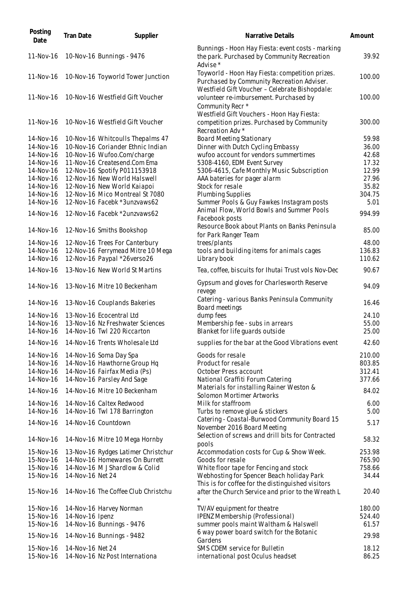| Posting<br>Date | <b>Tran Date</b> | Supplier                            | Narrative Details                                                                                                                               | Amount |
|-----------------|------------------|-------------------------------------|-------------------------------------------------------------------------------------------------------------------------------------------------|--------|
| 11-Nov-16       |                  | 10-Nov-16 Bunnings - 9476           | Bunnings - Hoon Hay Fiesta: event costs - marking<br>the park. Purchased by Community Recreation<br>Advise*                                     | 39.92  |
| 11-Nov-16       |                  | 10-Nov-16 Toyworld Tower Junction   | Toyworld - Hoon Hay Fiesta: competition prizes.<br>Purchased by Community Recreation Adviser.<br>Westfield Gift Voucher - Celebrate Bishopdale: | 100.00 |
| 11-Nov-16       |                  | 10-Nov-16 Westfield Gift Voucher    | volunteer re-imbursement. Purchased by<br>Community Recr <sup>*</sup><br>Westfield Gift Vouchers - Hoon Hay Fiesta:                             | 100.00 |
| 11-Nov-16       |                  | 10-Nov-16 Westfield Gift Voucher    | competition prizes. Purchased by Community<br>Recreation Adv *                                                                                  | 300.00 |
| 14-Nov-16       |                  | 10-Nov-16 Whitcoulls Thepalms 47    | <b>Board Meeting Stationary</b>                                                                                                                 | 59.98  |
| 14-Nov-16       |                  | 10-Nov-16 Coriander Ethnic Indian   | Dinner with Dutch Cycling Embassy                                                                                                               | 36.00  |
| 14-Nov-16       |                  | 10-Nov-16 Wufoo.Com/charge          | wufoo account for vendors summertimes                                                                                                           | 42.68  |
| 14-Nov-16       |                  | 11-Nov-16 Createsend.Com Ema        | 5308-4160, EDM Event Survey                                                                                                                     | 17.32  |
| 14-Nov-16       |                  | 12-Nov-16 Spotify P011153918        | 5306-4615, Cafe Monthly Music Subscription                                                                                                      | 12.99  |
| 14-Nov-16       |                  | 12-Nov-16 New World Halswell        | AAA bateries for pager alarm                                                                                                                    | 27.96  |
| 14-Nov-16       |                  | 12-Nov-16 New World Kaiapoi         | Stock for resale                                                                                                                                | 35.82  |
| 14-Nov-16       |                  | 12-Nov-16 Mico Montreal St 7080     | <b>Plumbing Supplies</b>                                                                                                                        | 304.75 |
| 14-Nov-16       |                  | 12-Nov-16 Facebk *3unzvaws62        | Summer Pools & Guy Fawkes Instagram posts                                                                                                       | 5.01   |
| 14-Nov-16       |                  | 12-Nov-16 Facebk *2unzvaws62        | Animal Flow, World Bowls and Summer Pools<br>Facebook posts                                                                                     | 994.99 |
| 14-Nov-16       |                  | 12-Nov-16 Smiths Bookshop           | Resource Book about Plants on Banks Peninsula<br>for Park Ranger Team                                                                           | 85.00  |
| 14-Nov-16       |                  | 12-Nov-16 Trees For Canterbury      | trees/plants                                                                                                                                    | 48.00  |
| 14-Nov-16       |                  | 12-Nov-16 Ferrymead Mitre 10 Mega   | tools and building items for animals cages                                                                                                      | 136.83 |
| 14-Nov-16       |                  | 12-Nov-16 Paypal *26verso26         | Library book                                                                                                                                    | 110.62 |
| 14-Nov-16       |                  | 13-Nov-16 New World St Martins      | Tea, coffee, biscuits for Ihutai Trust vols Nov-Dec                                                                                             | 90.67  |
| 14-Nov-16       |                  | 13-Nov-16 Mitre 10 Beckenham        | Gypsum and gloves for Charlesworth Reserve<br>revege                                                                                            | 94.09  |
| 14-Nov-16       |                  | 13-Nov-16 Couplands Bakeries        | Catering - various Banks Peninsula Community<br>Board meetings                                                                                  | 16.46  |
| 14-Nov-16       |                  | 13-Nov-16 Ecocentral Ltd            | dump fees                                                                                                                                       | 24.10  |
| 14-Nov-16       |                  | 13-Nov-16 Nz Freshwater Sciences    | Membership fee - subs in arrears                                                                                                                | 55.00  |
| 14-Nov-16       |                  | 14-Nov-16 Twl 220 Riccarton         | Blanket for life quards outside                                                                                                                 | 25.00  |
| 14-Nov-16       |                  | 14-Nov-16 Trents Wholesale Ltd      | supplies for the bar at the Good Vibrations event                                                                                               | 42.60  |
| 14-Nov-16       |                  | 14-Nov-16 Soma Day Spa              | Goods for resale                                                                                                                                | 210.00 |
| 14-Nov-16       |                  | 14-Nov-16 Hawthorne Group Hq        | Product for resale                                                                                                                              | 803.85 |
| 14-Nov-16       |                  | 14-Nov-16 Fairfax Media (Ps)        | October Press account                                                                                                                           | 312.41 |
| 14-Nov-16       |                  | 14-Nov-16 Parsley And Sage          | National Graffiti Forum Catering                                                                                                                | 377.66 |
| 14-Nov-16       |                  | 14-Nov-16 Mitre 10 Beckenham        | Materials for installing Rainer Weston &<br>Solomon Mortimer Artworks                                                                           | 84.02  |
| 14-Nov-16       |                  | 14-Nov-16 Caltex Redwood            | Milk for staffroom                                                                                                                              | 6.00   |
| 14-Nov-16       |                  | 14-Nov-16 Twl 178 Barrington        | Turbs to remove glue & stickers                                                                                                                 | 5.00   |
| 14-Nov-16       |                  | 14-Nov-16 Countdown                 | Catering - Coastal-Burwood Community Board 15                                                                                                   | 5.17   |
| 14-Nov-16       |                  | 14-Nov-16 Mitre 10 Mega Hornby      | November 2016 Board Meeting<br>Selection of screws and drill bits for Contracted                                                                | 58.32  |
|                 |                  |                                     | pools                                                                                                                                           |        |
| 15-Nov-16       |                  | 13-Nov-16 Rydges Latimer Christchur | Accommodation costs for Cup & Show Week.                                                                                                        | 253.98 |
| 15-Nov-16       |                  | 14-Nov-16 Homewares On Burrett      | Goods for resale                                                                                                                                | 765.90 |
| 15-Nov-16       |                  | 14-Nov-16 M J Shardlow & Colid      | White floor tape for Fencing and stock                                                                                                          | 758.66 |
| 15-Nov-16       | 14-Nov-16 Net 24 |                                     | Webhosting for Spencer Beach holiday Park<br>This is for coffee for the distinguished visitors                                                  | 34.44  |
| 15-Nov-16       |                  | 14-Nov-16 The Coffee Club Christchu | after the Church Service and prior to the Wreath L                                                                                              | 20.40  |
| 15-Nov-16       |                  | 14-Nov-16 Harvey Norman             | TV/AV equipment for theatre                                                                                                                     | 180.00 |
| 15-Nov-16       | 14-Nov-16 Ipenz  |                                     | IPENZ Membership (Professional)                                                                                                                 | 524.40 |
| 15-Nov-16       |                  | 14-Nov-16 Bunnings - 9476           | summer pools maint Waltham & Halswell                                                                                                           | 61.57  |
| 15-Nov-16       |                  | 14-Nov-16 Bunnings - 9482           | 6 way power board switch for the Botanic<br>Gardens                                                                                             | 29.98  |
| 15-Nov-16       | 14-Nov-16 Net 24 |                                     | SMS CDEM service for Bulletin                                                                                                                   | 18.12  |
| 15-Nov-16       |                  | 14-Nov-16 Nz Post Internationa      | international post Oculus headset                                                                                                               | 86.25  |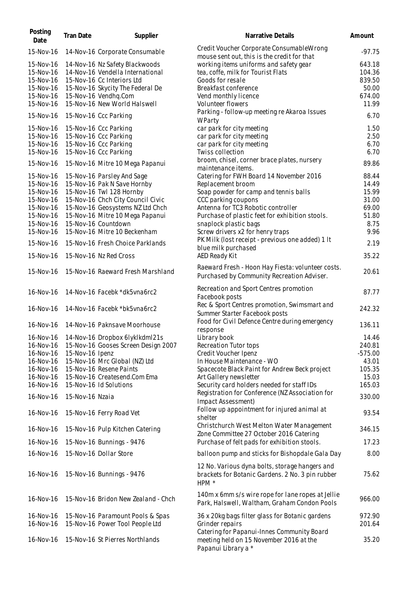| Posting<br>Date | <b>Tran Date</b> | Supplier                            | Narrative Details                                                                                 | Amount    |
|-----------------|------------------|-------------------------------------|---------------------------------------------------------------------------------------------------|-----------|
| 15-Nov-16       |                  | 14-Nov-16 Corporate Consumable      | Credit Voucher Corporate Consumable Wrong<br>mouse sent out, this is the credit for that          | $-97.75$  |
| 15-Nov-16       |                  | 14-Nov-16 Nz Safety Blackwoods      | working items uniforms and safety gear                                                            | 643.18    |
| 15-Nov-16       |                  | 14-Nov-16 Vendella International    | tea, coffe, milk for Tourist Flats                                                                | 104.36    |
| 15-Nov-16       |                  | 15-Nov-16 Cc Interiors Ltd          | Goods for resale                                                                                  | 839.50    |
| 15-Nov-16       |                  | 15-Nov-16 Skycity The Federal De    | Breakfast conference                                                                              | 50.00     |
| 15-Nov-16       |                  | 15-Nov-16 Vendhq.Com                | Vend monthly licence                                                                              | 674.00    |
| 15-Nov-16       |                  | 15-Nov-16 New World Halswell        | Volunteer flowers                                                                                 | 11.99     |
|                 |                  |                                     |                                                                                                   |           |
| 15-Nov-16       |                  | 15-Nov-16 Ccc Parking               | Parking - follow-up meeting re Akaroa Issues<br>WParty                                            | 6.70      |
| 15-Nov-16       |                  | 15-Nov-16 Ccc Parking               | car park for city meeting                                                                         | 1.50      |
| 15-Nov-16       |                  | 15-Nov-16 Ccc Parking               | car park for city meeting                                                                         | 2.50      |
| 15-Nov-16       |                  | 15-Nov-16 Ccc Parking               | car park for city meeting                                                                         | 6.70      |
| 15-Nov-16       |                  | 15-Nov-16 Ccc Parking               | Twiss collection                                                                                  | 6.70      |
|                 |                  |                                     | broom, chisel, corner brace plates, nursery                                                       |           |
| 15-Nov-16       |                  | 15-Nov-16 Mitre 10 Mega Papanui     | maintenance items.                                                                                | 89.86     |
| 15-Nov-16       |                  | 15-Nov-16 Parsley And Sage          | Catering for FWH Board 14 November 2016                                                           | 88.44     |
| 15-Nov-16       |                  | 15-Nov-16 Pak N Save Hornby         | Replacement broom                                                                                 | 14.49     |
| 15-Nov-16       |                  | 15-Nov-16 Twl 128 Hornby            | Soap powder for camp and tennis balls                                                             | 15.99     |
| 15-Nov-16       |                  | 15-Nov-16 Chch City Council Civic   | CCC parking coupons                                                                               | 31.00     |
| 15-Nov-16       |                  | 15-Nov-16 Geosystems NZ Ltd Chch    | Antenna for TC3 Robotic controller                                                                | 69.00     |
| 15-Nov-16       |                  | 15-Nov-16 Mitre 10 Mega Papanui     | Purchase of plastic feet for exhibition stools.                                                   | 51.80     |
| 15-Nov-16       |                  | 15-Nov-16 Countdown                 | snaplock plastic bags                                                                             | 8.75      |
| 15-Nov-16       |                  | 15-Nov-16 Mitre 10 Beckenham        | Screw drivers x2 for henry traps                                                                  | 9.96      |
| 15-Nov-16       |                  | 15-Nov-16 Fresh Choice Parklands    | PK Milk (lost receipt - previous one added) 1 It                                                  | 2.19      |
|                 |                  |                                     | blue milk purchased                                                                               |           |
| 15-Nov-16       |                  | 15-Nov-16 Nz Red Cross              | AED Ready Kit                                                                                     | 35.22     |
| 15-Nov-16       |                  | 15-Nov-16 Raeward Fresh Marshland   | Raeward Fresh - Hoon Hay Fiesta: volunteer costs.<br>Purchased by Community Recreation Adviser.   | 20.61     |
| 16-Nov-16       |                  | 14-Nov-16 Facebk *dk5vna6rc2        | Recreation and Sport Centres promotion<br>Facebook posts                                          | 87.77     |
| 16-Nov-16       |                  | 14-Nov-16 Facebk *bk5vna6rc2        | Rec & Sport Centres promotion, Swimsmart and<br>Summer Starter Facebook posts                     | 242.32    |
| 16-Nov-16       |                  | 14-Nov-16 Paknsave Moorhouse        | Food for Civil Defence Centre during emergency<br>response                                        | 136.11    |
| 16-Nov-16       |                  | 14-Nov-16 Dropbox 6lyklkdml21s      | Library book                                                                                      | 14.46     |
| 16-Nov-16       |                  | 15-Nov-16 Gooses Screen Design 2007 | Recreation Tutor tops                                                                             | 240.81    |
|                 |                  |                                     |                                                                                                   |           |
| 16-Nov-16       | 15-Nov-16 Ipenz  |                                     | Credit Voucher Ipenz                                                                              | $-575.00$ |
| 16-Nov-16       |                  | 15-Nov-16 Mrc Global (NZ) Ltd       | In House Maintenance - WO                                                                         | 43.01     |
| 16-Nov-16       |                  | 15-Nov-16 Resene Paints             | Spacecote Black Paint for Andrew Beck project                                                     | 105.35    |
| 16-Nov-16       |                  | 15-Nov-16 Createsend.Com Ema        | Art Gallery newsletter                                                                            | 15.03     |
| 16-Nov-16       |                  | 15-Nov-16 Id Solutions              | Security card holders needed for staff IDs                                                        | 165.03    |
| 16-Nov-16       | 15-Nov-16 Nzaia  |                                     | Registration for Conference (NZ Association for<br>Impact Assessment)                             | 330.00    |
| 16-Nov-16       |                  | 15-Nov-16 Ferry Road Vet            | Follow up appointment for injured animal at<br>shelter                                            | 93.54     |
| 16-Nov-16       |                  | 15-Nov-16 Pulp Kitchen Catering     | Christchurch West Melton Water Management<br>Zone Committee 27 October 2016 Catering              | 346.15    |
| 16-Nov-16       |                  | 15-Nov-16 Bunnings - 9476           | Purchase of felt pads for exhibition stools.                                                      | 17.23     |
| 16-Nov-16       |                  | 15-Nov-16 Dollar Store              | balloon pump and sticks for Bishopdale Gala Day                                                   | 8.00      |
|                 |                  |                                     | 12 No. Various dyna bolts, storage hangers and                                                    |           |
| 16-Nov-16       |                  | 15-Nov-16 Bunnings - 9476           | brackets for Botanic Gardens. 2 No. 3 pin rubber<br>HPM *                                         | 75.62     |
| 16-Nov-16       |                  | 15-Nov-16 Bridon New Zealand - Chch | 140m x 6mm s/s wire rope for lane ropes at Jellie<br>Park, Halswell, Waltham, Graham Condon Pools | 966.00    |
| 16-Nov-16       |                  | 15-Nov-16 Paramount Pools & Spas    | 36 x 20kg bags filter glass for Botanic gardens                                                   | 972.90    |
| 16-Nov-16       |                  | 15-Nov-16 Power Tool People Ltd     | Grinder repairs                                                                                   | 201.64    |
|                 |                  |                                     | Catering for Papanui-Innes Community Board                                                        |           |
| 16-Nov-16       |                  | 15-Nov-16 St Pierres Northlands     | meeting held on 15 November 2016 at the<br>Papanui Library a *                                    | 35.20     |
|                 |                  |                                     |                                                                                                   |           |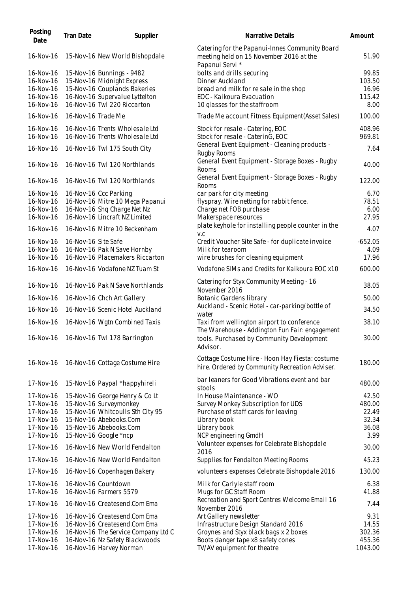| Posting<br>Date        | <b>Tran Date</b>    | Supplier                                                         | Narrative Details                                                                                            | Amount           |
|------------------------|---------------------|------------------------------------------------------------------|--------------------------------------------------------------------------------------------------------------|------------------|
| 16-Nov-16              |                     | 15-Nov-16 New World Bishopdale                                   | Catering for the Papanui-Innes Community Board<br>meeting held on 15 November 2016 at the<br>Papanui Servi * | 51.90            |
| 16-Nov-16              |                     | 15-Nov-16 Bunnings - 9482                                        | bolts and drills securing                                                                                    | 99.85            |
| 16-Nov-16              |                     | 15-Nov-16 Midnight Express                                       | Dinner Auckland                                                                                              | 103.50           |
| 16-Nov-16              |                     | 15-Nov-16 Couplands Bakeries                                     | bread and milk for resale in the shop                                                                        | 16.96            |
| 16-Nov-16<br>16-Nov-16 |                     | 16-Nov-16 Supervalue Lyttelton<br>16-Nov-16 Twl 220 Riccarton    | EOC - Kaikoura Evacuation<br>10 glasses for the staffroom                                                    | 115.42<br>8.00   |
| 16-Nov-16              | 16-Nov-16 Trade Me  |                                                                  | Trade Me account Fitness Equipment (Asset Sales)                                                             | 100.00           |
|                        |                     |                                                                  |                                                                                                              |                  |
| 16-Nov-16<br>16-Nov-16 |                     | 16-Nov-16 Trents Wholesale Ltd<br>16-Nov-16 Trents Wholesale Ltd | Stock for resale - Catering, EOC<br>Stock for resale - CaterinG, EOC                                         | 408.96<br>969.81 |
| 16-Nov-16              |                     | 16-Nov-16 Twl 175 South City                                     | General Event Equipment - Cleaning products -                                                                | 7.64             |
| 16-Nov-16              |                     | 16-Nov-16 Twl 120 Northlands                                     | <b>Rugby Rooms</b><br>General Event Equipment - Storage Boxes - Rugby                                        | 40.00            |
|                        |                     |                                                                  | Rooms<br>General Event Equipment - Storage Boxes - Rugby                                                     |                  |
| 16-Nov-16              |                     | 16-Nov-16 Twl 120 Northlands                                     | Rooms                                                                                                        | 122.00           |
| 16-Nov-16              |                     | 16-Nov-16 Ccc Parking                                            | car park for city meeting<br>flyspray. Wire netting for rabbit fence.                                        | 6.70<br>78.51    |
| 16-Nov-16<br>16-Nov-16 |                     | 16-Nov-16 Mitre 10 Mega Papanui<br>16-Nov-16 Shq Charge Net Nz   | Charge net FOB purchase                                                                                      | 6.00             |
| 16-Nov-16              |                     | 16-Nov-16 Lincraft NZ Limited                                    | Makerspace resources                                                                                         | 27.95            |
| 16-Nov-16              |                     | 16-Nov-16 Mitre 10 Beckenham                                     | plate keyhole for installing people counter in the                                                           | 4.07             |
| 16-Nov-16              | 16-Nov-16 Site Safe |                                                                  | V.C<br>Credit Voucher Site Safe - for duplicate invoice                                                      | $-652.05$        |
| 16-Nov-16              |                     | 16-Nov-16 Pak N Save Hornby                                      | Milk for tearoom                                                                                             | 4.09             |
| 16-Nov-16              |                     | 16-Nov-16 Placemakers Riccarton                                  | wire brushes for cleaning equipment                                                                          | 17.96            |
| 16-Nov-16              |                     | 16-Nov-16 Vodafone NZ Tuam St                                    | Vodafone SIMs and Credits for Kaikoura EOC x10                                                               | 600.00           |
| 16-Nov-16              |                     | 16-Nov-16 Pak N Save Northlands                                  | Catering for Styx Community Meeting - 16<br>November 2016                                                    | 38.05            |
| 16-Nov-16              |                     | 16-Nov-16 Chch Art Gallery                                       | Botanic Gardens library                                                                                      | 50.00            |
| 16-Nov-16              |                     | 16-Nov-16 Scenic Hotel Auckland                                  | Auckland - Scenic Hotel - car-parking/bottle of                                                              | 34.50            |
| 16-Nov-16              |                     | 16-Nov-16 Wgtn Combined Taxis                                    | water<br>Taxi from wellington airport to conference                                                          | 38.10            |
| 16-Nov-16              |                     | 16-Nov-16 Twl 178 Barrington                                     | The Warehouse - Addington Fun Fair: engagement<br>tools. Purchased by Community Development                  | 30.00            |
|                        |                     |                                                                  | Advisor.                                                                                                     |                  |
| 16-Nov-16              |                     | 16-Nov-16 Cottage Costume Hire                                   | Cottage Costume Hire - Hoon Hay Fiesta: costume<br>hire. Ordered by Community Recreation Adviser.            | 180.00           |
| 17-Nov-16              |                     | 15-Nov-16 Paypal *happyhireli                                    | bar leaners for Good Vibrations event and bar<br>stools                                                      | 480.00           |
| 17-Nov-16              |                     | 15-Nov-16 George Henry & Co Lt                                   | In House Maintenance - WO                                                                                    | 42.50            |
| 17-Nov-16              |                     | 15-Nov-16 Surveymonkey                                           | Survey Monkey Subscription for UDS                                                                           | 480.00           |
| 17-Nov-16              |                     | 15-Nov-16 Whitcoulls Sth City 95                                 | Purchase of staff cards for leaving                                                                          | 22.49            |
| 17-Nov-16              |                     | 15-Nov-16 Abebooks.Com                                           | Library book                                                                                                 | 32.34            |
| 17-Nov-16<br>17-Nov-16 |                     | 15-Nov-16 Abebooks.Com<br>15-Nov-16 Google *ncp                  | Library book<br>NCP engineering GmdH                                                                         | 36.08<br>3.99    |
| 17-Nov-16              |                     | 16-Nov-16 New World Fendalton                                    | Volunteer expenses for Celebrate Bishopdale                                                                  | 30.00            |
| 17-Nov-16              |                     | 16-Nov-16 New World Fendalton                                    | 2016<br>Supplies for Fendalton Meeting Rooms                                                                 | 45.23            |
| 17-Nov-16              |                     | 16-Nov-16 Copenhagen Bakery                                      | volunteers expenses Celebrate Bishopdale 2016                                                                | 130.00           |
| 17-Nov-16              |                     | 16-Nov-16 Countdown                                              | Milk for Carlyle staff room                                                                                  | 6.38             |
| 17-Nov-16              |                     | 16-Nov-16 Farmers 5579                                           | Mugs for GC Staff Room                                                                                       | 41.88            |
| 17-Nov-16              |                     | 16-Nov-16 Createsend.Com Ema                                     | Recreation and Sport Centres Welcome Email 16<br>November 2016                                               | 7.44             |
| 17-Nov-16              |                     | 16-Nov-16 Createsend.Com Ema                                     | Art Gallery newsletter                                                                                       | 9.31             |
| 17-Nov-16              |                     | 16-Nov-16 Createsend.Com Ema                                     | Infrastructure Design Standard 2016                                                                          | 14.55            |
| 17-Nov-16<br>17-Nov-16 |                     | 16-Nov-16 The Service Company Ltd C                              | Groynes and Styx black bags x 2 boxes                                                                        | 302.36<br>455.36 |
| 17-Nov-16              |                     | 16-Nov-16 Nz Safety Blackwoods<br>16-Nov-16 Harvey Norman        | Boots danger tape x8 safety cones<br>TV/AV equipment for theatre                                             | 1043.00          |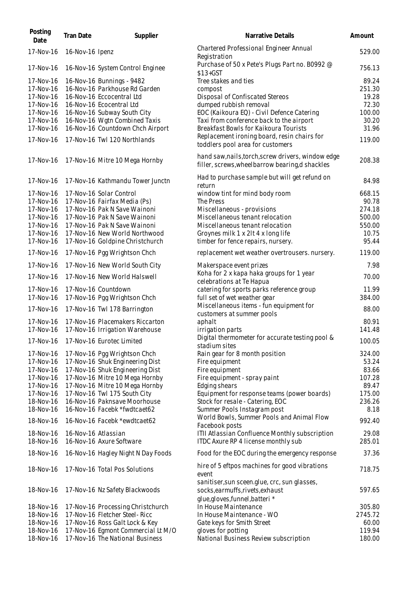| Posting<br>Date        | <b>Tran Date</b>    | Supplier                                                         | Narrative Details                                                                                                   | Amount          |
|------------------------|---------------------|------------------------------------------------------------------|---------------------------------------------------------------------------------------------------------------------|-----------------|
| 17-Nov-16              | 16-Nov-16 Ipenz     |                                                                  | Chartered Professional Engineer Annual<br>Registration                                                              | 529.00          |
| 17-Nov-16              |                     | 16-Nov-16 System Control Enginee                                 | Purchase of 50 x Pete's Plugs Part no. B0992 @<br>$$13+GST$                                                         | 756.13          |
| 17-Nov-16              |                     | 16-Nov-16 Bunnings - 9482                                        | Tree stakes and ties                                                                                                | 89.24           |
| 17-Nov-16              |                     | 16-Nov-16 Parkhouse Rd Garden                                    | compost                                                                                                             | 251.30          |
| 17-Nov-16              |                     | 16-Nov-16 Eccocentral Ltd                                        | Disposal of Confiscated Stereos                                                                                     | 19.28           |
| 17-Nov-16              |                     | 16-Nov-16 Ecocentral Ltd                                         | dumped rubbish removal                                                                                              | 72.30           |
| 17-Nov-16              |                     | 16-Nov-16 Subway South City                                      | EOC (Kaikoura EQ) - Civil Defence Catering                                                                          | 100.00          |
| 17-Nov-16              |                     | 16-Nov-16 Wgtn Combined Taxis                                    | Taxi from conference back to the airport                                                                            | 30.20           |
| 17-Nov-16              |                     | 16-Nov-16 Countdown Chch Airport                                 | Breakfast Bowls for Kaikoura Tourists                                                                               | 31.96           |
|                        |                     |                                                                  | Replacement ironing board, resin chairs for                                                                         |                 |
| 17-Nov-16              |                     | 17-Nov-16 Twl 120 Northlands                                     | toddlers pool area for customers                                                                                    | 119.00          |
| 17-Nov-16              |                     | 17-Nov-16 Mitre 10 Mega Hornby                                   | hand saw, nails, torch, screw drivers, window edge<br>filler, screws, wheelbarrow bearing, d shackles               | 208.38          |
| 17-Nov-16              |                     | 17-Nov-16 Kathmandu Tower Junctn                                 | Had to purchase sample but will get refund on<br>return                                                             | 84.98           |
| 17-Nov-16              |                     | 17-Nov-16 Solar Control                                          | window tint for mind body room                                                                                      | 668.15          |
| 17-Nov-16              |                     | 17-Nov-16 Fairfax Media (Ps)                                     | The Press                                                                                                           | 90.78           |
| 17-Nov-16              |                     | 17-Nov-16 Pak N Save Wainoni                                     | Miscellaneous - provisions                                                                                          | 274.18          |
| 17-Nov-16              |                     | 17-Nov-16 Pak N Save Wainoni                                     | Miscellaneous tenant relocation                                                                                     | 500.00          |
| 17-Nov-16              |                     | 17-Nov-16 Pak N Save Wainoni                                     | Miscellaneous tenant relocation                                                                                     | 550.00          |
| 17-Nov-16              |                     | 17-Nov-16 New World Northwood                                    | Groynes milk 1 x 2lt 4 x long life                                                                                  | 10.75           |
| 17-Nov-16              |                     | 17-Nov-16 Goldpine Christchurch                                  | timber for fence repairs, nursery.                                                                                  | 95.44           |
| 17-Nov-16              |                     | 17-Nov-16 Pgg Wrightson Chch                                     | replacement wet weather overtrousers. nursery.                                                                      | 119.00          |
| 17-Nov-16              |                     | 17-Nov-16 New World South City                                   | Makerspace event prizes                                                                                             | 7.98            |
| 17-Nov-16              |                     | 17-Nov-16 New World Halswell                                     | Koha for 2 x kapa haka groups for 1 year<br>celebrations at Te Hapua                                                | 70.00           |
| 17-Nov-16              |                     | 17-Nov-16 Countdown                                              | catering for sports parks reference group                                                                           | 11.99           |
| 17-Nov-16              |                     | 17-Nov-16 Pgg Wrightson Chch                                     | full set of wet weather gear                                                                                        | 384.00          |
| 17-Nov-16              |                     | 17-Nov-16 Twl 178 Barrington                                     | Miscellaneous items - fun equipment for<br>customers at summer pools                                                | 88.00           |
| 17-Nov-16              |                     | 17-Nov-16 Placemakers Riccarton                                  | aphalt                                                                                                              | 80.91           |
| 17-Nov-16              |                     | 17-Nov-16 Irrigation Warehouse                                   | irrigation parts                                                                                                    | 141.48          |
|                        |                     | 17-Nov-16 17-Nov-16 Eurotec Limited                              | Digital thermometer for accurate testing pool &                                                                     | 100.05          |
|                        |                     |                                                                  | stadium sites                                                                                                       |                 |
| 17-Nov-16              |                     | 17-Nov-16 Pgg Wrightson Chch                                     | Rain gear for 8 month position                                                                                      | 324.00          |
| 17-Nov-16<br>17-Nov-16 |                     | 17-Nov-16 Shuk Engineering Dist                                  | Fire equipment                                                                                                      | 53.24<br>83.66  |
| 17-Nov-16              |                     | 17-Nov-16 Shuk Engineering Dist                                  | Fire equipment                                                                                                      | 107.28          |
| 17-Nov-16              |                     | 17-Nov-16 Mitre 10 Mega Hornby<br>17-Nov-16 Mitre 10 Mega Hornby | Fire equipment - spray paint<br>Edging shears                                                                       | 89.47           |
| 17-Nov-16              |                     | 17-Nov-16 Twl 175 South City                                     | Equipment for response teams (power boards)                                                                         | 175.00          |
| 18-Nov-16              |                     | 16-Nov-16 Paknsave Moorhouse                                     | Stock for resale - Catering, EOC                                                                                    | 236.26          |
| 18-Nov-16              |                     | 16-Nov-16 Facebk *fwdtcaet62                                     | Summer Pools Instagram post                                                                                         | 8.18            |
| 18-Nov-16              |                     | 16-Nov-16 Facebk *ewdtcaet62                                     | World Bowls, Summer Pools and Animal Flow                                                                           | 992.40          |
|                        |                     |                                                                  | Facebook posts                                                                                                      |                 |
| 18-Nov-16<br>18-Nov-16 | 16-Nov-16 Atlassian | 16-Nov-16 Axure Software                                         | ITII Atlassian Confluence Monthly subscription<br>ITDC Axure RP 4 license monthly sub                               | 29.08<br>285.01 |
| 18-Nov-16              |                     | 16-Nov-16 Hagley Night N Day Foods                               | Food for the EOC during the emergency response                                                                      | 37.36           |
| 18-Nov-16              |                     | 17-Nov-16 Total Pos Solutions                                    | hire of 5 eftpos machines for good vibrations<br>event                                                              | 718.75          |
| 18-Nov-16              |                     | 17-Nov-16 Nz Safety Blackwoods                                   | sanitiser, sun sceen.glue, crc, sun glasses,<br>socks, earmuffs, rivets, exhaust<br>glue, gloves, funnel, batteri * | 597.65          |
| 18-Nov-16              |                     | 17-Nov-16 Processing Christchurch                                | In House Maintenance                                                                                                | 305.80          |
| 18-Nov-16              |                     | 17-Nov-16 Fletcher Steel-Ricc                                    | In House Maintenance - WO                                                                                           | 2745.72         |
| 18-Nov-16              |                     | 17-Nov-16 Ross Galt Lock & Key                                   | Gate keys for Smith Street                                                                                          | 60.00           |
| 18-Nov-16              |                     | 17-Nov-16 Egmont Commercial Lt M/O                               | gloves for potting                                                                                                  | 119.94          |
| 18-Nov-16              |                     | 17-Nov-16 The National Business                                  | National Business Review subscription                                                                               | 180.00          |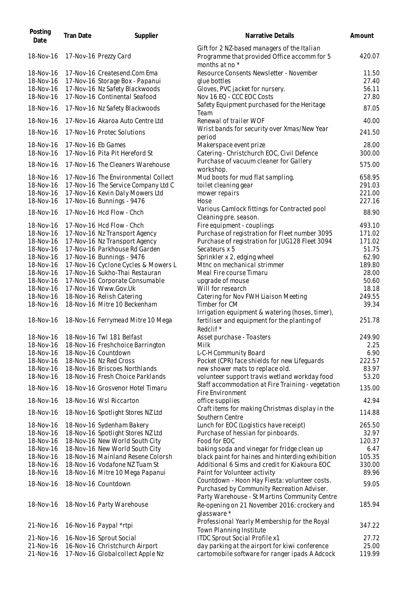| Posting<br>Date | <b>Tran Date</b>   | Supplier                            | Narrative Details                                                                                            | Amount |
|-----------------|--------------------|-------------------------------------|--------------------------------------------------------------------------------------------------------------|--------|
| 18-Nov-16       |                    | 17-Nov-16 Prezzy Card               | Gift for 2 NZ-based managers of the Italian<br>Programme that provided Office accomm for 5<br>months at no * | 420.07 |
| 18-Nov-16       |                    | 17-Nov-16 Createsend.Com Ema        | Resource Consents Newsletter - November                                                                      | 11.50  |
| 18-Nov-16       |                    | 17-Nov-16 Storage Box - Papanui     | glue bottles                                                                                                 | 27.40  |
| 18-Nov-16       |                    | 17-Nov-16 Nz Safety Blackwoods      | Gloves, PVC jacket for nursery.                                                                              | 56.11  |
| 18-Nov-16       |                    | 17-Nov-16 Continental Seafood       | Nov 16 EQ - CCC EOC Costs                                                                                    | 27.80  |
|                 |                    |                                     | Safety Equipment purchased for the Heritage                                                                  |        |
| 18-Nov-16       |                    | 17-Nov-16 Nz Safety Blackwoods      | Team                                                                                                         | 87.05  |
| 18-Nov-16       |                    | 17-Nov-16 Akaroa Auto Centre Ltd    | Renewal of trailer WOF                                                                                       | 40.00  |
| 18-Nov-16       |                    | 17-Nov-16 Protec Solutions          | Wrist bands for security over Xmas/New Year<br>period                                                        | 241.50 |
| 18-Nov-16       | 17-Nov-16 Eb Games |                                     | Makerspace event prize                                                                                       | 28.00  |
| 18-Nov-16       |                    | 17-Nov-16 Pita Pit Hereford St      | Catering - Christchurch EOC, Civil Defence                                                                   | 300.00 |
| 18-Nov-16       |                    | 17-Nov-16 The Cleaners Warehouse    | Purchase of vacuum cleaner for Gallery                                                                       | 575.00 |
|                 |                    |                                     | workshop.                                                                                                    |        |
| 18-Nov-16       |                    | 17-Nov-16 The Environmental Collect | Mud boots for mud flat sampling.                                                                             | 658.95 |
| 18-Nov-16       |                    | 17-Nov-16 The Service Company Ltd C | toilet cleaning gear                                                                                         | 291.03 |
| 18-Nov-16       |                    | 17-Nov-16 Kevin Daly Mowers Ltd     | mower repairs                                                                                                | 221.00 |
| 18-Nov-16       |                    | 17-Nov-16 Bunnings - 9476           | Hose                                                                                                         | 227.16 |
| 18-Nov-16       |                    | 17-Nov-16 Hcd Flow - Chch           | Various Camlock fittings for Contracted pool<br>Cleaning pre. season.                                        | 88.90  |
| 18-Nov-16       |                    | 17-Nov-16 Hcd Flow - Chch           | Fire equipment - couplings                                                                                   | 493.10 |
| 18-Nov-16       |                    | 17-Nov-16 Nz Transport Agency       | Purchase of registration for Fleet number 3095                                                               | 171.02 |
| 18-Nov-16       |                    | 17-Nov-16 Nz Transport Agency       | Purchase of registration for JUG128 Fleet 3094                                                               | 171.02 |
| 18-Nov-16       |                    | 17-Nov-16 Parkhouse Rd Garden       | Secateurs x 5                                                                                                | 51.75  |
| 18-Nov-16       |                    | 17-Nov-16 Bunnings - 9476           | Sprinkler x 2, edging wheel                                                                                  | 62.90  |
| 18-Nov-16       |                    | 17-Nov-16 Cyclone Cycles & Mowers L | Mtnc on mechanical strimmer                                                                                  | 189.80 |
| 18-Nov-16       |                    | 17-Nov-16 Sukho-Thai Restauran      | Meal Fire course Timaru                                                                                      | 28.00  |
| 18-Nov-16       |                    | 17-Nov-16 Corporate Consumable      | upgrade of mouse                                                                                             | 50.60  |
| 18-Nov-16       |                    | 17-Nov-16 Www.Gov.Uk                | Will for research                                                                                            | 18.18  |
| 18-Nov-16       |                    | 18-Nov-16 Relish Catering           | Catering for Nov FWH Liaison Meeting                                                                         | 249.55 |
| 18-Nov-16       |                    | 18-Nov-16 Mitre 10 Beckenham        | Timber for CM<br>Irrigation equipment & watering (hoses, timer),                                             | 39.34  |
| 18-Nov-16       |                    | 18-Nov-16 Ferrymead Mitre 10 Mega   | fertiliser and equipment for the planting of<br>Redclif <sup>*</sup>                                         | 251.78 |
| 18-Nov-16       |                    | 18-Nov-16 Twl 181 Belfast           | Asset purchase - Toasters                                                                                    | 249.90 |
| 18-Nov-16       |                    | 18-Nov-16 Freshchoice Barrington    | Milk                                                                                                         | 2.25   |
| 18-Nov-16       |                    | 18-Nov-16 Countdown                 | L-C-H Community Board                                                                                        | 6.90   |
| 18-Nov-16       |                    | 18-Nov-16 Nz Red Cross              | Pocket (CPR) face shields for new Lifeguards                                                                 | 222.57 |
| 18-Nov-16       |                    | 18-Nov-16 Briscoes Northlands       | new shower mats to replace old.                                                                              | 83.97  |
| 18-Nov-16       |                    | 18-Nov-16 Fresh Choice Parklands    | volunteer support travis wetland workday food                                                                | 53.20  |
| 18-Nov-16       |                    | 18-Nov-16 Grosvenor Hotel Timaru    | Staff accommodation at Fire Training - vegetation<br>Fire Environment                                        | 135.00 |
| 18-Nov-16       |                    | 18-Nov-16 Wsl Riccarton             | office supplies                                                                                              | 42.94  |
| 18-Nov-16       |                    | 18-Nov-16 Spotlight Stores NZ Ltd   | Craft items for making Christmas display in the<br>Southern Centre                                           | 114.88 |
| 18-Nov-16       |                    | 18-Nov-16 Sydenham Bakery           | Lunch for EOC (Logistics have receipt)                                                                       | 265.50 |
| 18-Nov-16       |                    | 18-Nov-16 Spotlight Stores NZ Ltd   | Purchase of hessian for pinboards.                                                                           | 32.97  |
| 18-Nov-16       |                    | 18-Nov-16 New World South City      | Food for EOC                                                                                                 | 120.37 |
| 18-Nov-16       |                    | 18-Nov-16 New World South City      | baking soda and vinegar for fridge clean up                                                                  | 6.47   |
| 18-Nov-16       |                    | 18-Nov-16 Mainland Resene Colorsh   | black paint for haines and hinterding exhibition                                                             | 105.35 |
| 18-Nov-16       |                    | 18-Nov-16 Vodafone NZ Tuam St       | Additional 6 Sims and credit for Kiakoura EOC                                                                | 330.00 |
| 18-Nov-16       |                    | 18-Nov-16 Mitre 10 Mega Papanui     | Paint for Volunteer activity                                                                                 | 89.96  |
|                 |                    |                                     | Countdown - Hoon Hay Fiesta: volunteer costs.                                                                |        |
| 18-Nov-16       |                    | 18-Nov-16 Countdown                 | Purchased by Community Recreation Adviser.<br>Party Warehouse - St Martins Community Centre                  | 59.05  |
| 18-Nov-16       |                    | 18-Nov-16 Party Warehouse           | Re-opening on 21 November 2016: crockery and<br>glassware*                                                   | 185.94 |
| 21-Nov-16       |                    | 16-Nov-16 Paypal *rtpi              | Professional Yearly Membership for the Royal<br>Town Planning Institute                                      | 347.22 |
| 21-Nov-16       |                    | 16-Nov-16 Sprout Social             | ITDC Sprout Social Profile x1                                                                                | 27.72  |
| 21-Nov-16       |                    | 16-Nov-16 Christchurch Airport      | day parking at the airport for kiwi conference                                                               | 25.00  |
| 21-Nov-16       |                    | 17-Nov-16 Globalcollect Apple Nz    | cartomobile software for ranger ipads A Adcock                                                               | 119.99 |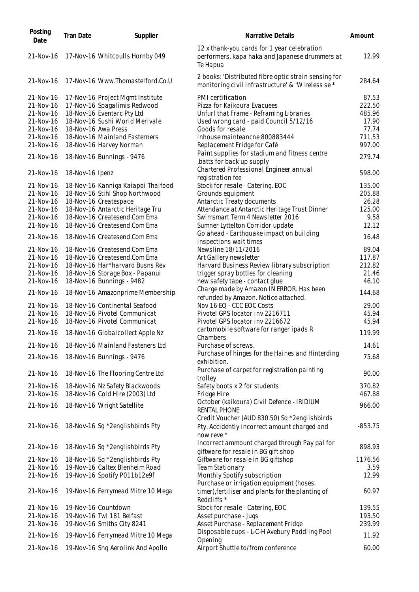| Posting<br>Date | <b>Tran Date</b> | Supplier                           | Narrative Details                                                                                           | Amount    |
|-----------------|------------------|------------------------------------|-------------------------------------------------------------------------------------------------------------|-----------|
| 21-Nov-16       |                  | 17-Nov-16 Whitcoulls Hornby 049    | 12 x thank-you cards for 1 year celebration<br>performers, kapa haka and Japanese drummers at<br>Te Hapua   | 12.99     |
| 21-Nov-16       |                  | 17-Nov-16 Www.Thomastelford.Co.U   | 2 books: 'Distributed fibre optic strain sensing for<br>monitoring civil infrastructure' & 'Wireless se *   | 284.64    |
| 21-Nov-16       |                  | 17-Nov-16 Project Mgmt Institute   | PMI certification                                                                                           | 87.53     |
| 21-Nov-16       |                  | 17-Nov-16 Spagalimis Redwood       | Pizza for Kaikoura Evacuees                                                                                 | 222.50    |
| 21-Nov-16       |                  | 18-Nov-16 Eventarc Pty Ltd         | Unfurl that Frame - Reframing Libraries                                                                     | 485.96    |
| 21-Nov-16       |                  | 18-Nov-16 Sushi World Merivale     | Used wrong card - paid Council 5/12/16                                                                      | 17.90     |
| 21-Nov-16       |                  | 18-Nov-16 Awa Press                | Goods for resale                                                                                            | 77.74     |
| 21-Nov-16       |                  | 18-Nov-16 Mainland Fasterners      | inhouse mainteancne 800883444                                                                               | 711.53    |
| 21-Nov-16       |                  | 18-Nov-16 Harvey Norman            | Replacement Fridge for Café                                                                                 | 997.00    |
| 21-Nov-16       |                  | 18-Nov-16 Bunnings - 9476          | Paint supplies for stadium and fitness centre<br>batts for back up supply,                                  | 279.74    |
| 21-Nov-16       | 18-Nov-16 Ipenz  |                                    | Chartered Professional Engineer annual<br>registration fee                                                  | 598.00    |
| 21-Nov-16       |                  | 18-Nov-16 Kanniga Kaiapoi Thaifood | Stock for resale - Catering. EOC                                                                            | 135.00    |
| 21-Nov-16       |                  | 18-Nov-16 Stihl Shop Northwood     | Grounds equipment                                                                                           | 205.88    |
| 21-Nov-16       |                  | 18-Nov-16 Createspace              | Antarctic Treaty documents                                                                                  | 26.28     |
| 21-Nov-16       |                  | 18-Nov-16 Antarctic Heritage Tru   | Attendance at Antarctic Heritage Trust Dinner                                                               | 125.00    |
| 21-Nov-16       |                  | 18-Nov-16 Createsend.Com Ema       | Swimsmart Term 4 Newsletter 2016                                                                            | 9.58      |
| 21-Nov-16       |                  | 18-Nov-16 Createsend.Com Ema       | Sumner Lyttelton Corridor update                                                                            | 12.12     |
|                 |                  |                                    | Go ahead - Earthquake impact on building                                                                    |           |
| 21-Nov-16       |                  | 18-Nov-16 Createsend.Com Ema       | inspections wait times                                                                                      | 16.48     |
| 21-Nov-16       |                  | 18-Nov-16 Createsend.Com Ema       | Newsline 18/11/2016                                                                                         | 89.04     |
| 21-Nov-16       |                  | 18-Nov-16 Createsend.Com Ema       | Art Gallery newsletter                                                                                      | 117.87    |
| 21-Nov-16       |                  | 18-Nov-16 Har*harvard Busns Rev    | Harvard Business Review library subscription                                                                | 212.82    |
| 21-Nov-16       |                  | 18-Nov-16 Storage Box - Papanui    | trigger spray bottles for cleaning                                                                          | 21.46     |
| 21-Nov-16       |                  | 18-Nov-16 Bunnings - 9482          | new safety tape - contact glue                                                                              | 46.10     |
| 21-Nov-16       |                  | 18-Nov-16 Amazonprime Membership   | Charge made by Amazon IN ERROR. Has been                                                                    | 144.68    |
|                 |                  |                                    | refunded by Amazon. Notice attached.                                                                        |           |
| 21-Nov-16       |                  | 18-Nov-16 Continental Seafood      | Nov 16 EQ - CCC EOC Costs                                                                                   | 29.00     |
| 21-Nov-16       |                  | 18-Nov-16 Pivotel Communicat       | Pivotel GPS locator inv 2216711                                                                             | 45.94     |
| 21-Nov-16       |                  | 18-Nov-16 Pivotel Communicat       | Pivotel GPS locator inv 2216672                                                                             | 45.94     |
| 21-Nov-16       |                  | 18-Nov-16 Globalcollect Apple Nz   | cartomobile software for ranger ipads R<br>Chambers                                                         | 119.99    |
| 21-Nov-16       |                  | 18-Nov-16 Mainland Fasteners Ltd   | Purchase of screws.                                                                                         | 14.61     |
| 21-Nov-16       |                  | 18-Nov-16 Bunnings - 9476          | Purchase of hinges for the Haines and Hinterding<br>exhibition.                                             | 75.68     |
| 21-Nov-16       |                  | 18-Nov-16 The Flooring Centre Ltd  | Purchase of carpet for registration painting<br>trolley.                                                    | 90.00     |
| 21-Nov-16       |                  | 18-Nov-16 Nz Safety Blackwoods     | Safety boots x 2 for students                                                                               | 370.82    |
| 21-Nov-16       |                  | 18-Nov-16 Cold Hire (2003) Ltd     | Fridge Hire                                                                                                 | 467.88    |
| 21-Nov-16       |                  | 18-Nov-16 Wright Satellite         | October (kaikoura) Civil Defence - IRIDIUM<br><b>RENTAL PHONE</b>                                           | 966.00    |
| 21-Nov-16       |                  | 18-Nov-16 Sq *2englishbirds Pty    | Credit Voucher (AUD 830.50) Sq *2englishbirds<br>Pty. Accidently incorrect amount charged and<br>now reve * | $-853.75$ |
| 21-Nov-16       |                  | 18-Nov-16 Sq *2englishbirds Pty    | Incorrect ammount charged through Pay pal for<br>giftware for resale in BG gift shop                        | 898.93    |
| 21-Nov-16       |                  | 18-Nov-16 Sq *2englishbirds Pty    | Giftware for resale in BG giftshop                                                                          | 1176.56   |
| 21-Nov-16       |                  | 19-Nov-16 Caltex Blenheim Road     | <b>Team Stationary</b>                                                                                      | 3.59      |
| 21-Nov-16       |                  | 19-Nov-16 Spotify P011b12e9f       | Monthly Spotify subscription<br>Purchase or irrigation equipment (hoses,                                    | 12.99     |
| 21-Nov-16       |                  | 19-Nov-16 Ferrymead Mitre 10 Mega  | timer), fertiliser and plants for the planting of<br>Redcliffs *                                            | 60.97     |
| 21-Nov-16       |                  | 19-Nov-16 Countdown                | Stock for resale - Catering, EOC                                                                            | 139.55    |
| 21-Nov-16       |                  | 19-Nov-16 Twl 181 Belfast          | Asset purchase - Jugs                                                                                       | 193.50    |
| 21-Nov-16       |                  | 19-Nov-16 Smiths City 8241         | Asset Purchase - Replacement Fridge                                                                         | 239.99    |
| 21-Nov-16       |                  | 19-Nov-16 Ferrymead Mitre 10 Mega  | Disposable cups - L-C-H Avebury Paddling Pool                                                               | 11.92     |
|                 |                  |                                    | Opening                                                                                                     |           |
| 21-Nov-16       |                  | 19-Nov-16 Shq Aerolink And Apollo  | Airport Shuttle to/from conference                                                                          | 60.00     |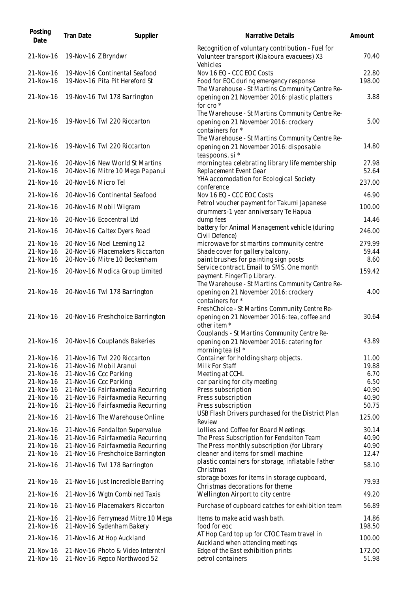| Posting<br>Date        | Tran Date           | Supplier                                                             | Narrative Details                                                                                             | Amount          |
|------------------------|---------------------|----------------------------------------------------------------------|---------------------------------------------------------------------------------------------------------------|-----------------|
| 21-Nov-16              | 19-Nov-16 Z Bryndwr |                                                                      | Recognition of voluntary contribution - Fuel for<br>Volunteer transport (Kiakoura evacuees) X3<br>Vehicles    | 70.40           |
| 21-Nov-16              |                     | 19-Nov-16 Continental Seafood                                        | Nov 16 EQ - CCC EOC Costs                                                                                     | 22.80           |
| 21-Nov-16              |                     | 19-Nov-16 Pita Pit Hereford St                                       | Food for EOC during emergency response<br>The Warehouse - St Martins Community Centre Re-                     | 198.00          |
| 21-Nov-16              |                     | 19-Nov-16 Twl 178 Barrington                                         | opening on 21 November 2016: plastic platters<br>for cro <sup>*</sup>                                         | 3.88            |
| 21-Nov-16              |                     | 19-Nov-16 Twl 220 Riccarton                                          | The Warehouse - St Martins Community Centre Re-<br>opening on 21 November 2016: crockery<br>containers for *  | 5.00            |
| 21-Nov-16              |                     | 19-Nov-16 Twl 220 Riccarton                                          | The Warehouse - St Martins Community Centre Re-<br>opening on 21 November 2016: disposable<br>teaspoons, si * | 14.80           |
| 21-Nov-16<br>21-Nov-16 |                     | 20-Nov-16 New World St Martins<br>20-Nov-16 Mitre 10 Mega Papanui    | morning tea celebrating library life membership<br>Replacement Event Gear                                     | 27.98<br>52.64  |
| 21-Nov-16              | 20-Nov-16 Micro Tel |                                                                      | YHA accomodation for Ecological Society<br>conference                                                         | 237.00          |
| 21-Nov-16              |                     | 20-Nov-16 Continental Seafood                                        | Nov 16 EQ - CCC EOC Costs                                                                                     | 46.90           |
| 21-Nov-16              |                     | 20-Nov-16 Mobil Wigram                                               | Petrol voucher payment for Takumi Japanese<br>drummers-1 year anniversary Te Hapua                            | 100.00          |
| 21-Nov-16              |                     | 20-Nov-16 Ecocentral Ltd                                             | dump fees                                                                                                     | 14.46           |
| 21-Nov-16              |                     | 20-Nov-16 Caltex Dyers Road                                          | battery for Animal Management vehicle (during<br>Civil Defence)                                               | 246.00          |
| 21-Nov-16              |                     | 20-Nov-16 Noel Leeming 12                                            | microwave for st martins community centre                                                                     | 279.99          |
| 21-Nov-16              |                     | 20-Nov-16 Placemakers Riccarton                                      | Shade cover for gallery balcony.                                                                              | 59.44           |
| 21-Nov-16              |                     | 20-Nov-16 Mitre 10 Beckenham                                         | paint brushes for painting sign posts                                                                         | 8.60            |
| 21-Nov-16              |                     | 20-Nov-16 Modica Group Limited                                       | Service contract. Email to SMS. One month<br>payment. FingerTip Library.                                      | 159.42          |
| 21-Nov-16              |                     | 20-Nov-16 Twl 178 Barrington                                         | The Warehouse - St Martins Community Centre Re-<br>opening on 21 November 2016: crockery<br>containers for *  | 4.00            |
| 21-Nov-16              |                     | 20-Nov-16 Freshchoice Barrington                                     | FreshChoice - St Martins Community Centre Re-<br>opening on 21 November 2016: tea, coffee and<br>other item * | 30.64           |
|                        |                     | 21-Nov-16 20-Nov-16 Couplands Bakeries                               | Couplands - St Martins Community Centre Re-<br>opening on 21 November 2016: catering for<br>morning tea (sl * | 43.89           |
| 21-Nov-16              |                     | 21-Nov-16 Twl 220 Riccarton                                          | Container for holding sharp objects.                                                                          | 11.00           |
| 21-Nov-16              |                     | 21-Nov-16 Mobil Aranui                                               | Milk For Staff                                                                                                | 19.88           |
| 21-Nov-16              |                     | 21-Nov-16 Ccc Parking                                                | Meeting at CCHL                                                                                               | 6.70            |
| 21-Nov-16              |                     | 21-Nov-16 Ccc Parking                                                | car parking for city meeting                                                                                  | 6.50            |
| 21-Nov-16<br>21-Nov-16 |                     | 21-Nov-16 Fairfaxmedia Recurring<br>21-Nov-16 Fairfaxmedia Recurring | Press subscription<br>Press subscription                                                                      | 40.90<br>40.90  |
| 21-Nov-16              |                     | 21-Nov-16 Fairfaxmedia Recurring                                     | Press subscription                                                                                            | 50.75           |
| 21-Nov-16              |                     | 21-Nov-16 The Warehouse Online                                       | USB Flash Drivers purchased for the District Plan<br>Review                                                   | 125.00          |
| 21-Nov-16              |                     | 21-Nov-16 Fendalton Supervalue                                       | Lollies and Coffee for Board Meetings                                                                         | 30.14           |
| 21-Nov-16              |                     | 21-Nov-16 Fairfaxmedia Recurring                                     | The Press Subscription for Fendalton Team                                                                     | 40.90           |
| 21-Nov-16              |                     | 21-Nov-16 Fairfaxmedia Recurring                                     | The Press monthly subscription (for Library                                                                   | 40.90           |
| 21-Nov-16              |                     | 21-Nov-16 Freshchoice Barrington                                     | cleaner and items for smell machine                                                                           | 12.47           |
| 21-Nov-16              |                     | 21-Nov-16 Twl 178 Barrington                                         | plastic containers for storage, inflatable Father<br>Christmas                                                | 58.10           |
| 21-Nov-16              |                     | 21-Nov-16 Just Incredible Barring                                    | storage boxes for items in storage cupboard,<br>Christmas decorations for theme                               | 79.93           |
| 21-Nov-16              |                     | 21-Nov-16 Wgtn Combined Taxis                                        | Wellington Airport to city centre                                                                             | 49.20           |
| 21-Nov-16              |                     | 21-Nov-16 Placemakers Riccarton                                      | Purchase of cupboard catches for exhibition team                                                              | 56.89           |
| 21-Nov-16              |                     | 21-Nov-16 Ferrymead Mitre 10 Mega                                    | Items to make acid wash bath.                                                                                 | 14.86           |
| 21-Nov-16              |                     | 21-Nov-16 Sydenham Bakery                                            | food for eoc                                                                                                  | 198.50          |
| 21-Nov-16              |                     | 21-Nov-16 At Hop Auckland                                            | AT Hop Card top up for CTOC Team travel in<br>Auckland when attending meetings                                | 100.00          |
| 21-Nov-16<br>21-Nov-16 |                     | 21-Nov-16 Photo & Video Interntnl<br>21-Nov-16 Repco Northwood 52    | Edge of the East exhibition prints<br>petrol containers                                                       | 172.00<br>51.98 |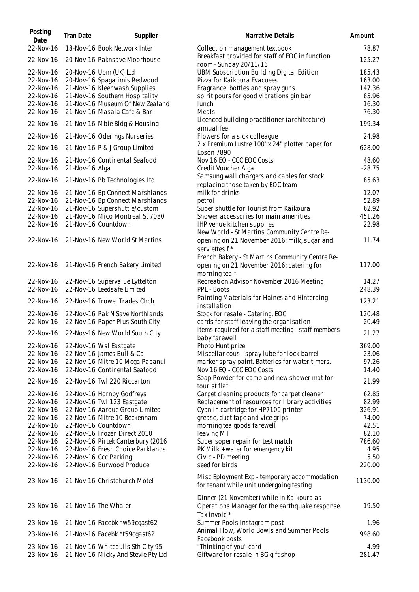| Posting<br>Date        | <b>Tran Date</b> | Supplier                                                       | Narrative Details                                                                            | Amount         |
|------------------------|------------------|----------------------------------------------------------------|----------------------------------------------------------------------------------------------|----------------|
| 22-Nov-16              |                  | 18-Nov-16 Book Network Inter                                   | Collection management textbook                                                               | 78.87          |
| 22-Nov-16              |                  | 20-Nov-16 Paknsave Moorhouse                                   | Breakfast provided for staff of EOC in function<br>room - Sunday 20/11/16                    | 125.27         |
| 22-Nov-16              |                  | 20-Nov-16 Ubm (UK) Ltd                                         | UBM Subscription Building Digital Edition                                                    | 185.43         |
| 22-Nov-16              |                  | 20-Nov-16 Spagalimis Redwood                                   | Pizza for Kaikoura Evacuees                                                                  | 163.00         |
| 22-Nov-16              |                  | 21-Nov-16 Kleenwash Supplies                                   | Fragrance, bottles and spray guns.                                                           | 147.36         |
| 22-Nov-16              |                  | 21-Nov-16 Southern Hospitality                                 | spirit pours for good vibrations gin bar                                                     | 85.96          |
| 22-Nov-16<br>22-Nov-16 |                  | 21-Nov-16 Museum Of New Zealand<br>21-Nov-16 Masala Cafe & Bar | lunch<br>Meals                                                                               | 16.30<br>76.30 |
| 22-Nov-16              |                  | 21-Nov-16 Mbie Bldg & Housing                                  | Licenced building practitioner (architecture)<br>annual fee                                  | 199.34         |
| 22-Nov-16              |                  | 21-Nov-16 Oderings Nurseries                                   | Flowers for a sick colleague                                                                 | 24.98          |
| 22-Nov-16              |                  | 21-Nov-16 P & J Group Limited                                  | 2 x Premium Lustre 100' x 24" plotter paper for<br>Epson 7890                                | 628.00         |
| 22-Nov-16              |                  | 21-Nov-16 Continental Seafood                                  | Nov 16 EQ - CCC EOC Costs                                                                    | 48.60          |
| 22-Nov-16              | 21-Nov-16 Alga   |                                                                | Credit Voucher Alga                                                                          | $-28.75$       |
| 22-Nov-16              |                  | 21-Nov-16 Pb Technologies Ltd                                  | Samsung wall chargers and cables for stock<br>replacing those taken by EOC team              | 85.63          |
| 22-Nov-16              |                  | 21-Nov-16 Bp Connect Marshlands                                | milk for drinks                                                                              | 12.07          |
| 22-Nov-16              |                  | 21-Nov-16 Bp Connect Marshlands                                | petrol                                                                                       | 52.89          |
| 22-Nov-16              |                  | 21-Nov-16 Supershuttle/custom                                  | Super shuttle for Tourist from Kaikoura                                                      | 62.92          |
| 22-Nov-16              |                  | 21-Nov-16 Mico Montreal St 7080                                | Shower accessories for main amenities                                                        | 451.26         |
| 22-Nov-16              |                  | 21-Nov-16 Countdown                                            | IHP venue kitchen supplies                                                                   | 22.98          |
|                        |                  |                                                                | New World - St Martins Community Centre Re-                                                  |                |
| 22-Nov-16              |                  | 21-Nov-16 New World St Martins                                 | opening on 21 November 2016: milk, sugar and                                                 | 11.74          |
|                        |                  |                                                                | serviettes f *                                                                               |                |
|                        |                  |                                                                | French Bakery - St Martins Community Centre Re-                                              |                |
| 22-Nov-16              |                  | 21-Nov-16 French Bakery Limited                                | opening on 21 November 2016: catering for<br>morning tea *                                   | 117.00         |
| 22-Nov-16              |                  | 22-Nov-16 Supervalue Lyttelton                                 | Recreation Advisor November 2016 Meeting                                                     | 14.27          |
| 22-Nov-16              |                  | 22-Nov-16 Leedsafe Limited                                     | PPE - Boots                                                                                  | 248.39         |
| 22-Nov-16              |                  | 22-Nov-16 Trowel Trades Chch                                   | Painting Materials for Haines and Hinterding<br>installation                                 | 123.21         |
| 22-Nov-16              |                  | 22-Nov-16 Pak N Save Northlands                                | Stock for resale - Catering, EOC                                                             | 120.48         |
| 22-Nov-16              |                  | 22-Nov-16 Paper Plus South City                                | cards for staff leaving the organisation                                                     | 20.49          |
|                        |                  |                                                                | items required for a staff meeting - staff members                                           |                |
| 22-Nov-16              |                  | 22-Nov-16 New World South City                                 | baby farewell                                                                                | 21.27          |
| 22-Nov-16              |                  | 22-Nov-16 Wsl Eastgate                                         | Photo Hunt prize                                                                             | 369.00         |
| 22-Nov-16              |                  | 22-Nov-16 James Bull & Co                                      | Miscellaneous - spray lube for lock barrel                                                   | 23.06          |
| 22-Nov-16              |                  | 22-Nov-16 Mitre 10 Mega Papanui                                | marker spray paint. Batteries for water timers.                                              | 97.26          |
| 22-Nov-16<br>22-Nov-16 |                  | 22-Nov-16 Continental Seafood<br>22-Nov-16 Twl 220 Riccarton   | Nov 16 EQ - CCC EOC Costs<br>Soap Powder for camp and new shower mat for                     | 14.40<br>21.99 |
|                        |                  |                                                                | tourist flat.                                                                                |                |
| 22-Nov-16              |                  | 22-Nov-16 Hornby Godfreys                                      | Carpet cleaning products for carpet cleaner                                                  | 62.85          |
| 22-Nov-16              |                  | 22-Nov-16 Twl 123 Eastgate                                     | Replacement of resources for library activities                                              | 82.99          |
| 22-Nov-16              |                  | 22-Nov-16 Aarque Group Limited                                 | Cyan in cartridge for HP7100 printer                                                         | 326.91         |
| 22-Nov-16              |                  | 22-Nov-16 Mitre 10 Beckenham                                   | grease, duct tape and vice grips                                                             | 74.00          |
| 22-Nov-16              |                  | 22-Nov-16 Countdown                                            | morning tea goods farewell                                                                   | 42.51          |
| 22-Nov-16              |                  | 22-Nov-16 Frozen Direct 2010                                   | leaving MT                                                                                   | 82.10          |
| 22-Nov-16              |                  | 22-Nov-16 Pirtek Canterbury (2016                              | Super soper repair for test match                                                            | 786.60         |
| 22-Nov-16              |                  | 22-Nov-16 Fresh Choice Parklands                               | PK Milk + water for emergency kit                                                            | 4.95           |
| 22-Nov-16              |                  | 22-Nov-16 Ccc Parking                                          | Civic - PD meeting                                                                           | 5.50           |
| 22-Nov-16              |                  | 22-Nov-16 Burwood Produce                                      | seed for birds                                                                               | 220.00         |
| 23-Nov-16              |                  | 21-Nov-16 Christchurch Motel                                   | Misc Eployment Exp - temporary accommodation<br>for tenant while unit undergoing testing     | 1130.00        |
| 23-Nov-16              |                  | 21-Nov-16 The Whaler                                           | Dinner (21 November) while in Kaikoura as<br>Operations Manager for the earthquake response. | 19.50          |
| 23-Nov-16              |                  | 21-Nov-16 Facebk *w59cgast62                                   | Tax invoic *<br>Summer Pools Instagram post                                                  | 1.96           |
| 23-Nov-16              |                  | 21-Nov-16 Facebk *t59cgast62                                   | Animal Flow, World Bowls and Summer Pools<br>Facebook posts                                  | 998.60         |
| 23-Nov-16              |                  | 21-Nov-16 Whitcoulls Sth City 95                               | "Thinking of you" card                                                                       | 4.99           |
| 23-Nov-16              |                  | 21-Nov-16 Micky And Stevie Pty Ltd                             | Giftware for resale in BG gift shop                                                          | 281.47         |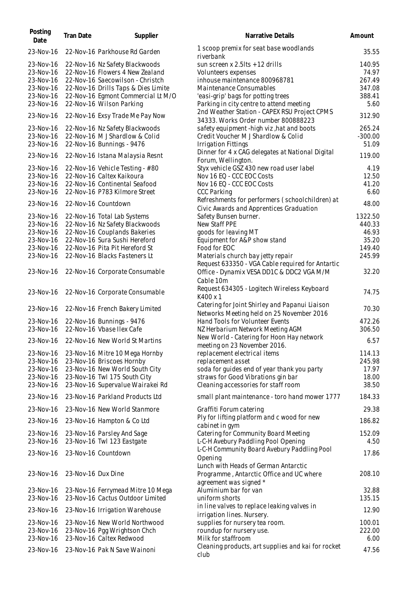| Posting<br>Date | <b>Tran Date</b>   | Supplier                                 | Narrative Details                                   | Amount    |
|-----------------|--------------------|------------------------------------------|-----------------------------------------------------|-----------|
| 23-Nov-16       |                    | 22-Nov-16 Parkhouse Rd Garden            | 1 scoop premix for seat base woodlands<br>riverbank | 35.55     |
| 23-Nov-16       |                    | 22-Nov-16 Nz Safety Blackwoods           | sun screen x $2.5$ lts + 12 drills                  | 140.95    |
| 23-Nov-16       |                    | 22-Nov-16 Flowers 4 New Zealand          | Volunteers expenses                                 | 74.97     |
| 23-Nov-16       |                    | 22-Nov-16 Saecowilson - Christch         | inhouse maintenance 800968781                       | 267.49    |
| 23-Nov-16       |                    | 22-Nov-16 Drills Taps & Dies Limite      | Maintenance Consumables                             | 347.08    |
| 23-Nov-16       |                    | 22-Nov-16 Egmont Commercial Lt M/O       | 'easi-grip' bags for potting trees                  | 388.41    |
| 23-Nov-16       |                    | 22-Nov-16 Wilson Parking                 | Parking in city centre to attend meeting            | 5.60      |
|                 |                    |                                          | 2nd Weather Station - CAPEX RSU Project CPMS        |           |
| 23-Nov-16       |                    | 22-Nov-16 Exsy Trade Me Pay Now          | 34333. Works Order number 800888223                 | 312.90    |
| 23-Nov-16       |                    | 22-Nov-16 Nz Safety Blackwoods           | safety equipment -high viz, hat and boots           | 265.24    |
| 23-Nov-16       |                    | 22-Nov-16 MJ Shardlow & Colid            | Credit Voucher M J Shardlow & Colid                 | $-300.00$ |
| 23-Nov-16       |                    | 22-Nov-16 Bunnings - 9476                | <b>Irrigation Fittings</b>                          | 51.09     |
|                 |                    |                                          | Dinner for 4 x CAG delegates at National Digital    |           |
| 23-Nov-16       |                    | 22-Nov-16 Istana Malaysia Resnt          | Forum, Wellington.                                  | 119.00    |
| 23-Nov-16       |                    | 22-Nov-16 Vehicle Testing - #80          | Styx vehicle GSZ 430 new road user label            | 4.19      |
| 23-Nov-16       |                    | 22-Nov-16 Caltex Kaikoura                | Nov 16 EQ - CCC EOC Costs                           | 12.50     |
| 23-Nov-16       |                    | 22-Nov-16 Continental Seafood            | Nov 16 EQ - CCC EOC Costs                           | 41.20     |
| 23-Nov-16       |                    | 22-Nov-16 P783 Kilmore Street            | <b>CCC Parking</b>                                  | 6.60      |
|                 |                    |                                          | Refreshments for performers (schoolchildren) at     |           |
| 23-Nov-16       |                    | 22-Nov-16 Countdown                      |                                                     | 48.00     |
|                 |                    |                                          | Civic Awards and Apprentices Graduation             |           |
| 23-Nov-16       |                    | 22-Nov-16 Total Lab Systems              | Safety Bunsen burner.                               | 1322.50   |
| 23-Nov-16       |                    | 22-Nov-16 Nz Safety Blackwoods           | New Staff PPE                                       | 440.33    |
| 23-Nov-16       |                    | 22-Nov-16 Couplands Bakeries             | goods for leaving MT                                | 46.93     |
| 23-Nov-16       |                    | 22-Nov-16 Sura Sushi Hereford            | Equipment for A&P show stand                        | 35.20     |
| 23-Nov-16       |                    | 22-Nov-16 Pita Pit Hereford St           | Food for EOC                                        | 149.40    |
| 23-Nov-16       |                    | 22-Nov-16 Blacks Fasteners Lt            | Materials church bay jetty repair                   | 245.99    |
|                 |                    |                                          | Request 633350 - VGA Cable required for Antartic    |           |
| 23-Nov-16       |                    | 22-Nov-16 Corporate Consumable           | Office - Dynamix VESA DD1C & DDC2 VGA M/M           | 32.20     |
|                 |                    |                                          | Cable 10m                                           |           |
| 23-Nov-16       |                    | 22-Nov-16 Corporate Consumable           | Request 634305 - Logitech Wireless Keyboard         | 74.75     |
|                 |                    |                                          | K400 x 1                                            |           |
|                 |                    |                                          | Catering for Joint Shirley and Papanui Liaison      | 70.30     |
| 23-Nov-16       |                    | 22-Nov-16 French Bakery Limited          | Networks Meeting held on 25 November 2016           |           |
| 23-Nov-16       |                    | 22-Nov-16 Bunnings - 9476                | Hand Tools for Volunteer Events                     | 472.26    |
| 23-Nov-16       |                    | 22-Nov-16 Vbase Ilex Cafe                | NZ Herbarium Network Meeting AGM                    | 306.50    |
|                 |                    |                                          | New World - Catering for Hoon Hay network           |           |
|                 |                    | 23-Nov-16 22-Nov-16 New World St Martins | meeting on 23 November 2016.                        | 6.57      |
| 23-Nov-16       |                    | 23-Nov-16 Mitre 10 Mega Hornby           | replacement electrical items                        | 114.13    |
| 23-Nov-16       |                    | 23-Nov-16 Briscoes Hornby                | replacement asset                                   | 245.98    |
| 23-Nov-16       |                    | 23-Nov-16 New World South City           | soda for guides end of year thank you party         | 17.97     |
| 23-Nov-16       |                    | 23-Nov-16 Twl 175 South City             | straws for Good Vibrations gin bar                  | 18.00     |
| 23-Nov-16       |                    |                                          |                                                     | 38.50     |
|                 |                    | 23-Nov-16 Supervalue Wairakei Rd         | Cleaning accessories for staff room                 |           |
| 23-Nov-16       |                    | 23-Nov-16 Parkland Products Ltd          | small plant maintenance - toro hand mower 1777      | 184.33    |
| 23-Nov-16       |                    | 23-Nov-16 New World Stanmore             | Graffiti Forum catering                             | 29.38     |
| 23-Nov-16       |                    | 23-Nov-16 Hampton & Co Ltd               | Ply for lifting platform and c wood for new         | 186.82    |
|                 |                    |                                          | cabinet in gym                                      |           |
| 23-Nov-16       |                    | 23-Nov-16 Parsley And Sage               | Catering for Community Board Meeting                | 152.09    |
| 23-Nov-16       |                    | 23-Nov-16 Twl 123 Eastgate               | L-C-H Avebury Paddling Pool Opening                 | 4.50      |
| 23-Nov-16       |                    | 23-Nov-16 Countdown                      | L-C-H Community Board Avebury Paddling Pool         | 17.86     |
|                 |                    |                                          | Opening                                             |           |
|                 |                    |                                          | Lunch with Heads of German Antarctic                |           |
| 23-Nov-16       | 23-Nov-16 Dux Dine |                                          | Programme, Antarctic Office and UC where            | 208.10    |
|                 |                    |                                          | agreement was signed *                              |           |
| 23-Nov-16       |                    | 23-Nov-16 Ferrymead Mitre 10 Mega        | Aluminium bar for van                               | 32.88     |
| 23-Nov-16       |                    | 23-Nov-16 Cactus Outdoor Limited         | uniform shorts                                      | 135.15    |
| 23-Nov-16       |                    | 23-Nov-16 Irrigation Warehouse           | in line valves to replace leaking valves in         | 12.90     |
|                 |                    |                                          | irrigation lines. Nursery.                          |           |
| 23-Nov-16       |                    | 23-Nov-16 New World Northwood            | supplies for nursery tea room.                      | 100.01    |
| 23-Nov-16       |                    | 23-Nov-16 Pgg Wrightson Chch             | roundup for nursery use.                            | 222.00    |
| 23-Nov-16       |                    | 23-Nov-16 Caltex Redwood                 | Milk for staffroom                                  | 6.00      |
|                 |                    |                                          | Cleaning products, art supplies and kai for rocket  |           |
| 23-Nov-16       |                    | 23-Nov-16 Pak N Save Wainoni             | club                                                | 47.56     |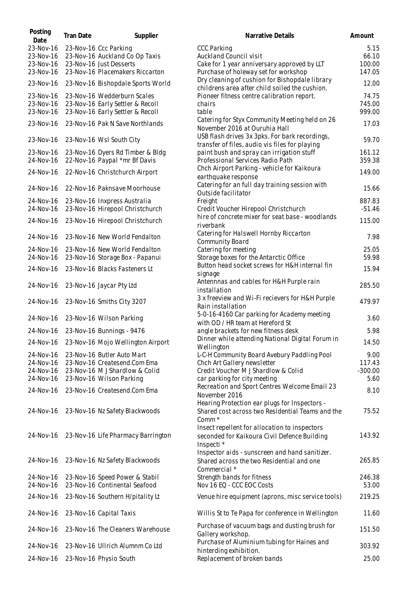| Posting<br>Date | Tran Date | Supplier                                    | Narrative Details                                                                                | Amount    |
|-----------------|-----------|---------------------------------------------|--------------------------------------------------------------------------------------------------|-----------|
| 23-Nov-16       |           | 23-Nov-16 Ccc Parking                       | <b>CCC Parking</b>                                                                               | 5.15      |
| 23-Nov-16       |           | 23-Nov-16 Auckland Co Op Taxis              | Auckland Council visit                                                                           | 66.10     |
| 23-Nov-16       |           | 23-Nov-16 Just Desserts                     | Cake for 1 year anniversary approved by LLT                                                      | 100.00    |
| 23-Nov-16       |           | 23-Nov-16 Placemakers Riccarton             | Purchase of holeway set for workshop                                                             | 147.05    |
| 23-Nov-16       |           | 23-Nov-16 Bishopdale Sports World           | Dry cleaning of cushion for Bishopdale library<br>childrens area after child soiled the cushion. | 12.00     |
| 23-Nov-16       |           | 23-Nov-16 Wedderburn Scales                 | Pioneer fitness centre calibration report.                                                       | 74.75     |
| 23-Nov-16       |           | 23-Nov-16 Early Settler & Recoll            | chairs                                                                                           | 745.00    |
| 23-Nov-16       |           | 23-Nov-16 Early Settler & Recoll            | table                                                                                            | 999.00    |
| 23-Nov-16       |           | 23-Nov-16 Pak N Save Northlands             | Catering for Styx Community Meeting held on 26<br>November 2016 at Ouruhia Hall                  | 17.03     |
| 23-Nov-16       |           | 23-Nov-16 Wsl South City                    | USB flash drives 3x 3pks. For bark recordings,<br>transfer of files, audio vis files for playing | 59.70     |
| 23-Nov-16       |           | 23-Nov-16 Dyers Rd Timber & Bldg            | paint bush and spray can irrigation stuff                                                        | 161.12    |
| 24-Nov-16       |           | 22-Nov-16 Paypal *mr Bf Davis               | Professional Services Radio Path                                                                 | 359.38    |
| 24-Nov-16       |           | 22-Nov-16 Christchurch Airport              | Chch Airport Parking - vehicle for Kaikoura<br>earthquake response                               | 149.00    |
| 24-Nov-16       |           | 22-Nov-16 Paknsave Moorhouse                | Catering for an full day training session with<br>Outside facilitator                            | 15.66     |
| 24-Nov-16       |           | 23-Nov-16 Inxpress Australia                | Freight                                                                                          | 887.83    |
| 24-Nov-16       |           | 23-Nov-16 Hirepool Christchurch             | Credit Voucher Hirepool Christchurch                                                             | $-51.46$  |
|                 |           |                                             | hire of concrete mixer for seat base - woodlands                                                 |           |
| 24-Nov-16       |           | 23-Nov-16 Hirepool Christchurch             | riverbank                                                                                        | 115.00    |
| 24-Nov-16       |           | 23-Nov-16 New World Fendalton               | Catering for Halswell Hornby Riccarton<br>Community Board                                        | 7.98      |
| 24-Nov-16       |           | 23-Nov-16 New World Fendalton               | Catering for meeting                                                                             | 25.05     |
| 24-Nov-16       |           | 23-Nov-16 Storage Box - Papanui             | Storage boxes for the Antarctic Office                                                           | 59.98     |
| 24-Nov-16       |           | 23-Nov-16 Blacks Fasteners Lt               | Button head socket screws for H&H internal fin<br>signage                                        | 15.94     |
| 24-Nov-16       |           | 23-Nov-16 Jaycar Pty Ltd                    | Antennnas and cables for H&H Purple rain<br>installation                                         | 285.50    |
| 24-Nov-16       |           | 23-Nov-16 Smiths City 3207                  | 3 x freeview and Wi-Fi recievers for H&H Purple<br>Rain installation                             | 479.97    |
| 24-Nov-16       |           | 23-Nov-16 Wilson Parking                    | 5-0-16-4160 Car parking for Academy meeting<br>with OD / HR team at Hereford St                  | 3.60      |
| 24-Nov-16       |           | 23-Nov-16 Bunnings - 9476                   | angle brackets for new fitness desk                                                              | 5.98      |
|                 |           | 24-Nov-16 23-Nov-16 Mojo Wellington Airport | Dinner while attending National Digital Forum in<br>Wellington                                   | 14.50     |
| 24-Nov-16       |           | 23-Nov-16 Butler Auto Mart                  | L-C-H Community Board Avebury Paddling Pool                                                      | 9.00      |
| 24-Nov-16       |           | 23-Nov-16 Createsend.Com Ema                | Chch Art Gallery newsletter                                                                      | 117.43    |
| 24-Nov-16       |           | 23-Nov-16 M J Shardlow & Colid              | Credit Voucher M J Shardlow & Colid                                                              | $-300.00$ |
| 24-Nov-16       |           | 23-Nov-16 Wilson Parking                    | car parking for city meeting                                                                     | 5.60      |
|                 |           |                                             | Recreation and Sport Centres Welcome Email 23                                                    |           |
| 24-Nov-16       |           | 23-Nov-16 Createsend.Com Ema                | November 2016<br>Hearing Protection ear plugs for Inspectors -                                   | 8.10      |
| 24-Nov-16       |           | 23-Nov-16 Nz Safety Blackwoods              | Shared cost across two Residential Teams and the                                                 | 75.52     |
|                 |           |                                             | Comm <sup>*</sup><br>Insect repellent for allocation to inspectors                               |           |
| 24-Nov-16       |           | 23-Nov-16 Life Pharmacy Barrington          | seconded for Kaikoura Civil Defence Building                                                     | 143.92    |
|                 |           |                                             | Inspecti *                                                                                       |           |
|                 |           |                                             | Inspector aids - sunscreen and hand sanitizer.                                                   |           |
| 24-Nov-16       |           | 23-Nov-16 Nz Safety Blackwoods              | Shared across the two Residential and one<br>Commercial *                                        | 265.85    |
| 24-Nov-16       |           | 23-Nov-16 Speed Power & Stabil              | Strength bands for fitness                                                                       | 246.38    |
| 24-Nov-16       |           | 23-Nov-16 Continental Seafood               | Nov 16 EQ - CCC EOC Costs                                                                        | 53.00     |
| 24-Nov-16       |           | 23-Nov-16 Southern H/pitality Lt            | Venue hire equipment (aprons, misc service tools)                                                | 219.25    |
| 24-Nov-16       |           | 23-Nov-16 Capital Taxis                     | Willis St to Te Papa for conference in Wellington                                                | 11.60     |
| 24-Nov-16       |           | 23-Nov-16 The Cleaners Warehouse            | Purchase of vacuum bags and dusting brush for<br>Gallery workshop.                               | 151.50    |
|                 |           | 23-Nov-16 Ullrich Alumnm Co Ltd             | Purchase of Aluminium tubing for Haines and                                                      | 303.92    |
| 24-Nov-16       |           |                                             | hinterding exhibition.                                                                           |           |
| 24-Nov-16       |           | 23-Nov-16 Physio South                      | Replacement of broken bands                                                                      | 25.00     |